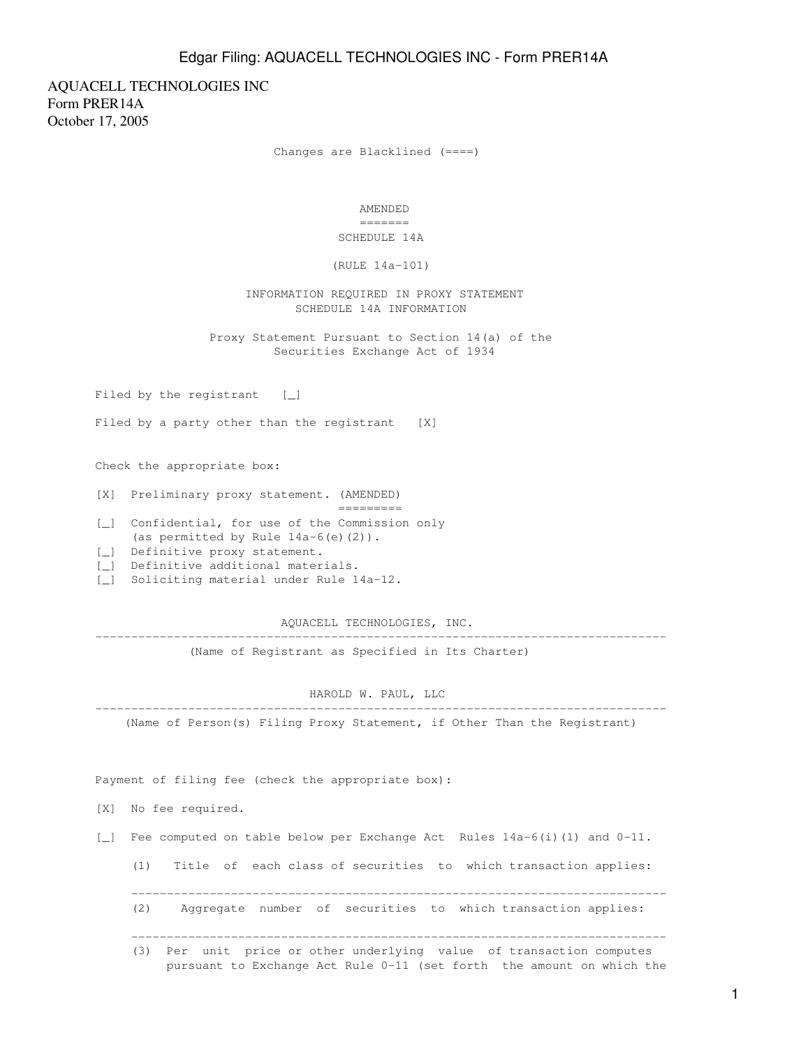AQUACELL TECHNOLOGIES INC Form PRER14A October 17, 2005

Changes are Blacklined (====)

 AMENDED ======= SCHEDULE 14A

(RULE 14a-101)

 INFORMATION REQUIRED IN PROXY STATEMENT SCHEDULE 14A INFORMATION

 Proxy Statement Pursuant to Section 14(a) of the Securities Exchange Act of 1934

Filed by the registrant [\_]

Filed by a party other than the registrant [X]

Check the appropriate box:

[X] Preliminary proxy statement. (AMENDED)

=========

- [\_] Confidential, for use of the Commission only (as permitted by Rule  $14a-6$ (e)(2)).
- [\_] Definitive proxy statement.
- [\_] Definitive additional materials.
- [\_] Soliciting material under Rule 14a-12.

 AQUACELL TECHNOLOGIES, INC. --------------------------------------------------------------------------------

(Name of Registrant as Specified in Its Charter)

 HAROLD W. PAUL, LLC --------------------------------------------------------------------------------

(Name of Person(s) Filing Proxy Statement, if Other Than the Registrant)

Payment of filing fee (check the appropriate box):

- [X] No fee required.
- [\_] Fee computed on table below per Exchange Act Rules 14a-6(i)(1) and 0-11.

(1) Title of each class of securities to which transaction applies:

(2) Aggregate number of securities to which transaction applies:

---------------------------------------------------------------------------

 (3) Per unit price or other underlying value of transaction computes pursuant to Exchange Act Rule 0-11 (set forth the amount on which the

---------------------------------------------------------------------------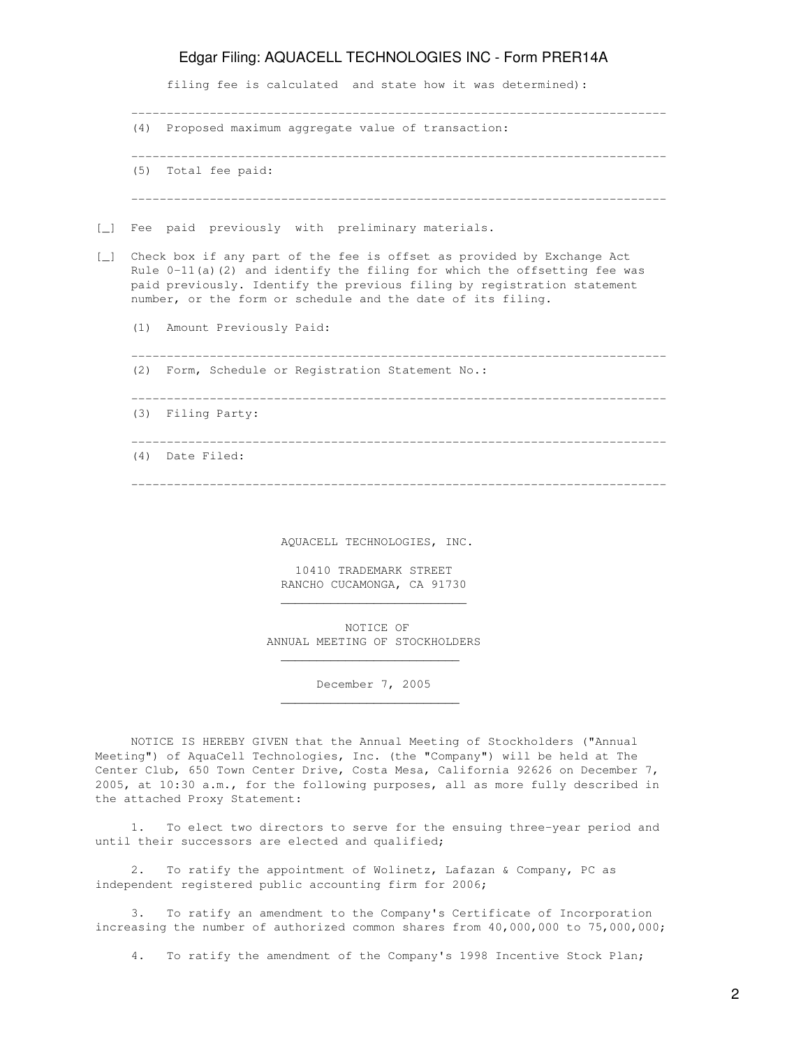filing fee is calculated and state how it was determined):

|        | (4) Proposed maximum aggregate value of transaction:                                                                                                                                                                                                                                                                            |  |
|--------|---------------------------------------------------------------------------------------------------------------------------------------------------------------------------------------------------------------------------------------------------------------------------------------------------------------------------------|--|
|        | (5) Total fee paid:                                                                                                                                                                                                                                                                                                             |  |
|        |                                                                                                                                                                                                                                                                                                                                 |  |
| $\Box$ | Fee paid previously with preliminary materials.                                                                                                                                                                                                                                                                                 |  |
| $\Box$ | Check box if any part of the fee is offset as provided by Exchange Act<br>Rule $0-11$ (a) (2) and identify the filing for which the offsetting fee was<br>paid previously. Identify the previous filing by registration statement<br>number, or the form or schedule and the date of its filing.<br>(1) Amount Previously Paid: |  |
|        | (2) Form, Schedule or Registration Statement No.:                                                                                                                                                                                                                                                                               |  |
|        | (3) Filing Party:                                                                                                                                                                                                                                                                                                               |  |
|        | (4) Date Filed:                                                                                                                                                                                                                                                                                                                 |  |
|        |                                                                                                                                                                                                                                                                                                                                 |  |

AQUACELL TECHNOLOGIES, INC.

 10410 TRADEMARK STREET RANCHO CUCAMONGA, CA 91730

 $\mathcal{L}_\text{max}$  , and the set of the set of the set of the set of the set of the set of the set of the set of the set of the set of the set of the set of the set of the set of the set of the set of the set of the set of the

 $\overline{\phantom{a}}$  , which is a set of the set of the set of the set of the set of the set of the set of the set of the set of the set of the set of the set of the set of the set of the set of the set of the set of the set of th

 $\overline{\phantom{a}}$  , which is a set of the set of the set of the set of the set of the set of the set of the set of the set of the set of the set of the set of the set of the set of the set of the set of the set of the set of th

 NOTICE OF ANNUAL MEETING OF STOCKHOLDERS

December 7, 2005

 NOTICE IS HEREBY GIVEN that the Annual Meeting of Stockholders ("Annual Meeting") of AquaCell Technologies, Inc. (the "Company") will be held at The Center Club, 650 Town Center Drive, Costa Mesa, California 92626 on December 7, 2005, at 10:30 a.m., for the following purposes, all as more fully described in the attached Proxy Statement:

 1. To elect two directors to serve for the ensuing three-year period and until their successors are elected and qualified;

 2. To ratify the appointment of Wolinetz, Lafazan & Company, PC as independent registered public accounting firm for 2006;

 3. To ratify an amendment to the Company's Certificate of Incorporation increasing the number of authorized common shares from  $40,000,000$  to 75,000,000;

4. To ratify the amendment of the Company's 1998 Incentive Stock Plan;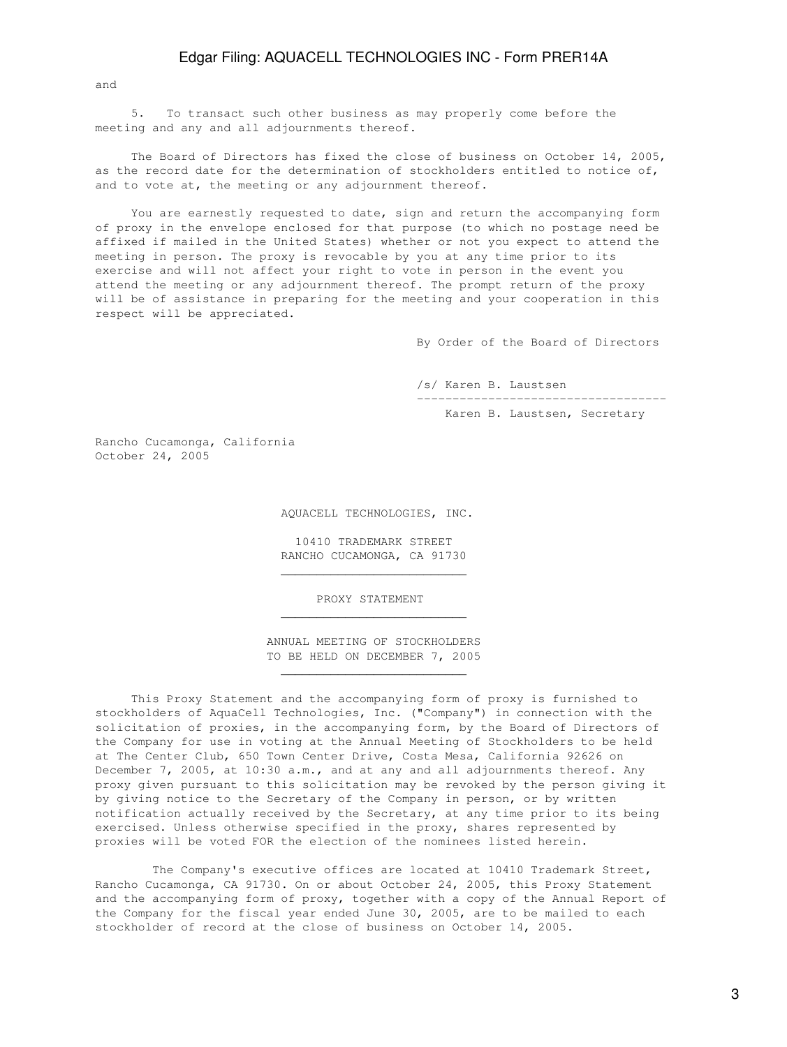and

 5. To transact such other business as may properly come before the meeting and any and all adjournments thereof.

 The Board of Directors has fixed the close of business on October 14, 2005, as the record date for the determination of stockholders entitled to notice of, and to vote at, the meeting or any adjournment thereof.

 You are earnestly requested to date, sign and return the accompanying form of proxy in the envelope enclosed for that purpose (to which no postage need be affixed if mailed in the United States) whether or not you expect to attend the meeting in person. The proxy is revocable by you at any time prior to its exercise and will not affect your right to vote in person in the event you attend the meeting or any adjournment thereof. The prompt return of the proxy will be of assistance in preparing for the meeting and your cooperation in this respect will be appreciated.

By Order of the Board of Directors

/s/ Karen B. Laustsen

-----------------------------------

Karen B. Laustsen, Secretary

Rancho Cucamonga, California October 24, 2005

AQUACELL TECHNOLOGIES, INC.

 10410 TRADEMARK STREET RANCHO CUCAMONGA, CA 91730

PROXY STATEMENT

 $\frac{1}{\sqrt{2}}$  ,  $\frac{1}{\sqrt{2}}$  ,  $\frac{1}{\sqrt{2}}$  ,  $\frac{1}{\sqrt{2}}$  ,  $\frac{1}{\sqrt{2}}$  ,  $\frac{1}{\sqrt{2}}$  ,  $\frac{1}{\sqrt{2}}$  ,  $\frac{1}{\sqrt{2}}$  ,  $\frac{1}{\sqrt{2}}$  ,  $\frac{1}{\sqrt{2}}$  ,  $\frac{1}{\sqrt{2}}$  ,  $\frac{1}{\sqrt{2}}$  ,  $\frac{1}{\sqrt{2}}$  ,  $\frac{1}{\sqrt{2}}$  ,  $\frac{1}{\sqrt{2}}$ 

 $\frac{1}{\sqrt{2}}$  ,  $\frac{1}{\sqrt{2}}$  ,  $\frac{1}{\sqrt{2}}$  ,  $\frac{1}{\sqrt{2}}$  ,  $\frac{1}{\sqrt{2}}$  ,  $\frac{1}{\sqrt{2}}$  ,  $\frac{1}{\sqrt{2}}$  ,  $\frac{1}{\sqrt{2}}$  ,  $\frac{1}{\sqrt{2}}$  ,  $\frac{1}{\sqrt{2}}$  ,  $\frac{1}{\sqrt{2}}$  ,  $\frac{1}{\sqrt{2}}$  ,  $\frac{1}{\sqrt{2}}$  ,  $\frac{1}{\sqrt{2}}$  ,  $\frac{1}{\sqrt{2}}$ 

 $\mathcal{L}_\text{max}$  , and the set of the set of the set of the set of the set of the set of the set of the set of the set of the set of the set of the set of the set of the set of the set of the set of the set of the set of the

 ANNUAL MEETING OF STOCKHOLDERS TO BE HELD ON DECEMBER 7, 2005

 This Proxy Statement and the accompanying form of proxy is furnished to stockholders of AquaCell Technologies, Inc. ("Company") in connection with the solicitation of proxies, in the accompanying form, by the Board of Directors of the Company for use in voting at the Annual Meeting of Stockholders to be held at The Center Club, 650 Town Center Drive, Costa Mesa, California 92626 on December 7, 2005, at 10:30 a.m., and at any and all adjournments thereof. Any proxy given pursuant to this solicitation may be revoked by the person giving it by giving notice to the Secretary of the Company in person, or by written notification actually received by the Secretary, at any time prior to its being exercised. Unless otherwise specified in the proxy, shares represented by proxies will be voted FOR the election of the nominees listed herein.

 The Company's executive offices are located at 10410 Trademark Street, Rancho Cucamonga, CA 91730. On or about October 24, 2005, this Proxy Statement and the accompanying form of proxy, together with a copy of the Annual Report of the Company for the fiscal year ended June 30, 2005, are to be mailed to each stockholder of record at the close of business on October 14, 2005.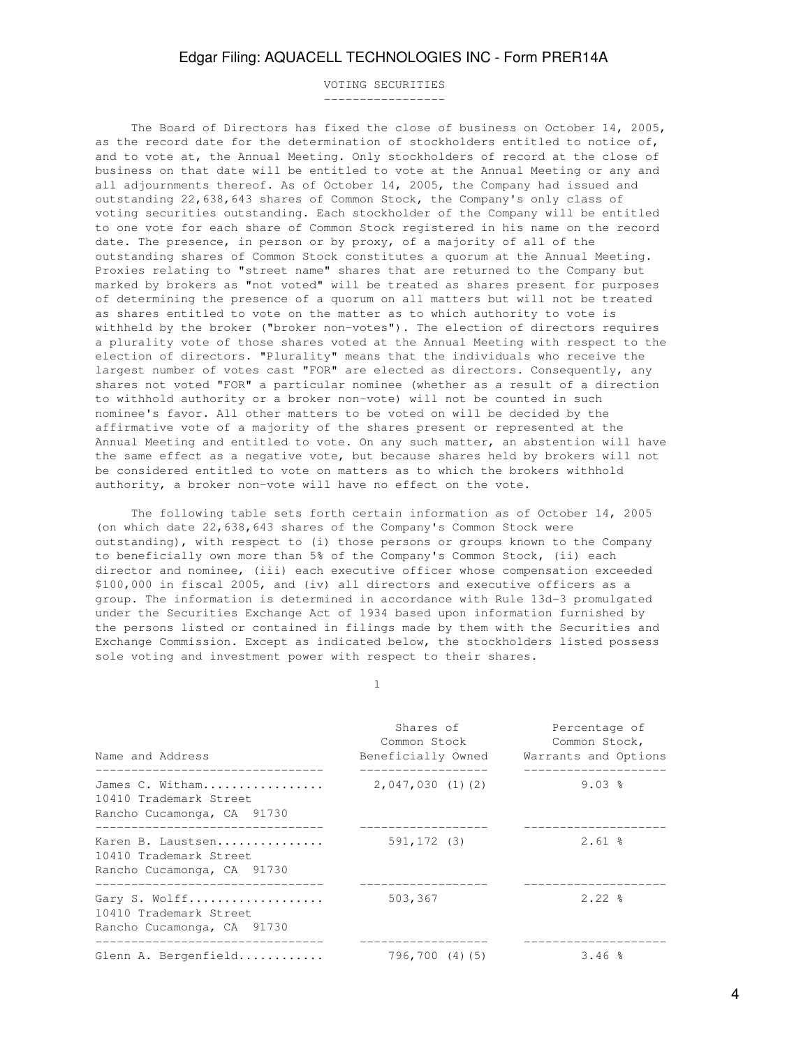VOTING SECURITIES -----------------

 The Board of Directors has fixed the close of business on October 14, 2005, as the record date for the determination of stockholders entitled to notice of, and to vote at, the Annual Meeting. Only stockholders of record at the close of business on that date will be entitled to vote at the Annual Meeting or any and all adjournments thereof. As of October 14, 2005, the Company had issued and outstanding 22,638,643 shares of Common Stock, the Company's only class of voting securities outstanding. Each stockholder of the Company will be entitled to one vote for each share of Common Stock registered in his name on the record date. The presence, in person or by proxy, of a majority of all of the outstanding shares of Common Stock constitutes a quorum at the Annual Meeting. Proxies relating to "street name" shares that are returned to the Company but marked by brokers as "not voted" will be treated as shares present for purposes of determining the presence of a quorum on all matters but will not be treated as shares entitled to vote on the matter as to which authority to vote is withheld by the broker ("broker non-votes"). The election of directors requires a plurality vote of those shares voted at the Annual Meeting with respect to the election of directors. "Plurality" means that the individuals who receive the largest number of votes cast "FOR" are elected as directors. Consequently, any shares not voted "FOR" a particular nominee (whether as a result of a direction to withhold authority or a broker non-vote) will not be counted in such nominee's favor. All other matters to be voted on will be decided by the affirmative vote of a majority of the shares present or represented at the Annual Meeting and entitled to vote. On any such matter, an abstention will have the same effect as a negative vote, but because shares held by brokers will not be considered entitled to vote on matters as to which the brokers withhold authority, a broker non-vote will have no effect on the vote.

 The following table sets forth certain information as of October 14, 2005 (on which date 22,638,643 shares of the Company's Common Stock were outstanding), with respect to (i) those persons or groups known to the Company to beneficially own more than 5% of the Company's Common Stock, (ii) each director and nominee, (iii) each executive officer whose compensation exceeded \$100,000 in fiscal 2005, and (iv) all directors and executive officers as a group. The information is determined in accordance with Rule 13d-3 promulgated under the Securities Exchange Act of 1934 based upon information furnished by the persons listed or contained in filings made by them with the Securities and Exchange Commission. Except as indicated below, the stockholders listed possess sole voting and investment power with respect to their shares.

1

| Name and Address                                                          | Shares of<br>Common Stock | Percentage of<br>Common Stock,<br>Beneficially Owned Warrants and Options |  |  |
|---------------------------------------------------------------------------|---------------------------|---------------------------------------------------------------------------|--|--|
| James C. Witham<br>10410 Trademark Street<br>Rancho Cucamonga, CA 91730   | 2,047,030(1)(2)           | $9.03$ %                                                                  |  |  |
| Karen B. Laustsen<br>10410 Trademark Street<br>Rancho Cucamonga, CA 91730 | 591,172 (3)               | $2.61$ %                                                                  |  |  |
| Gary S. Wolff<br>10410 Trademark Street<br>Rancho Cucamonga, CA 91730     | 503,367                   | $2.22$ $%$                                                                |  |  |
| Glenn A. Bergenfield                                                      | 796,700 (4)(5)            | 3.46%                                                                     |  |  |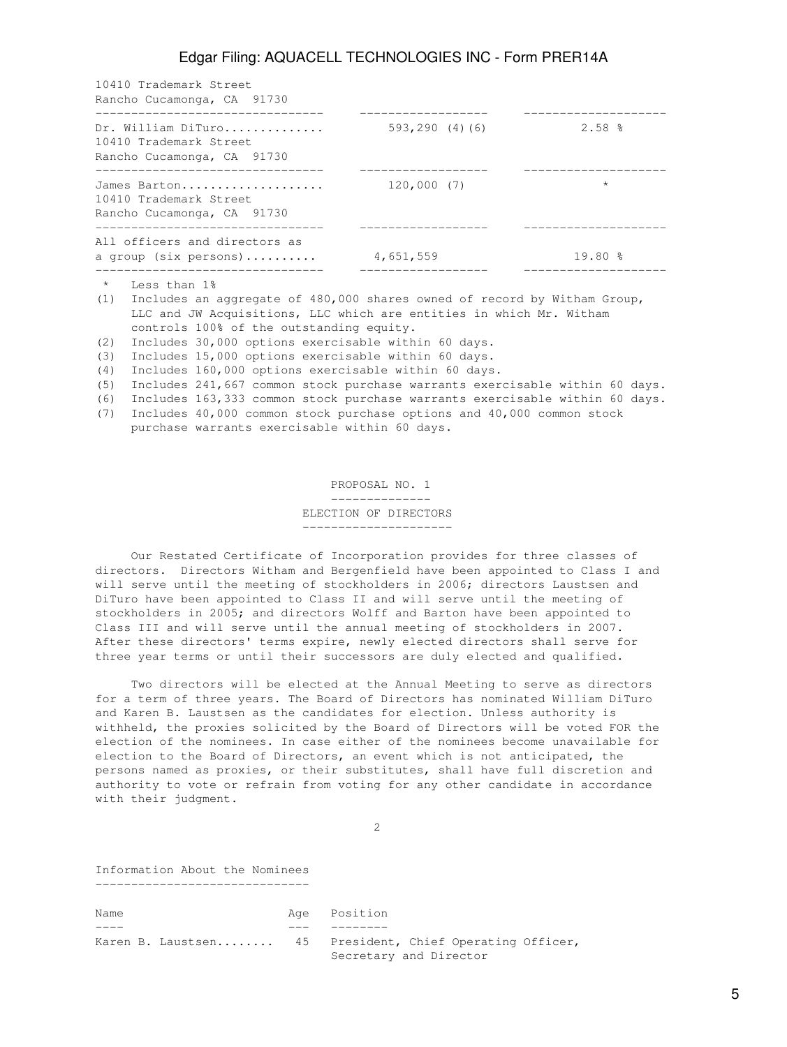|                                                                                                                                                                                                                                                                                                                                                                                                                                                                                                                                                                                                                                                                                                                                                                                                                                                                                                                                                                                    | 10410 Trademark Street                                                                                                                                                                                                                                                                                                                                                          |                |          |
|------------------------------------------------------------------------------------------------------------------------------------------------------------------------------------------------------------------------------------------------------------------------------------------------------------------------------------------------------------------------------------------------------------------------------------------------------------------------------------------------------------------------------------------------------------------------------------------------------------------------------------------------------------------------------------------------------------------------------------------------------------------------------------------------------------------------------------------------------------------------------------------------------------------------------------------------------------------------------------|---------------------------------------------------------------------------------------------------------------------------------------------------------------------------------------------------------------------------------------------------------------------------------------------------------------------------------------------------------------------------------|----------------|----------|
|                                                                                                                                                                                                                                                                                                                                                                                                                                                                                                                                                                                                                                                                                                                                                                                                                                                                                                                                                                                    |                                                                                                                                                                                                                                                                                                                                                                                 | 593,290 (4)(6) | $2.58$ % |
| Rancho Cucamonga, CA 91730<br>____________________________________<br>_____________________<br>____________________<br>Dr. William DiTuro<br>10410 Trademark Street<br>Rancho Cucamonga, CA 91730<br>__________________________________<br>____________________<br>______________________<br>James Barton<br>120,000(7)<br>$\star$<br>10410 Trademark Street<br>Rancho Cucamonga, CA 91730<br>_________________________________<br>All officers and directors as<br>19.80%<br>a group (six persons) 4,651,559<br>_____________________________________<br>$\star$<br>Less than 1%<br>Includes an aggregate of 480,000 shares owned of record by Witham Group,<br>(1)<br>LLC and JW Acquisitions, LLC which are entities in which Mr. Witham<br>controls 100% of the outstanding equity.<br>Includes 30,000 options exercisable within 60 days.<br>(2)<br>Includes 15,000 options exercisable within 60 days.<br>(3)<br>Includes 160,000 options exercisable within 60 days.<br>(4) |                                                                                                                                                                                                                                                                                                                                                                                 |                |          |
|                                                                                                                                                                                                                                                                                                                                                                                                                                                                                                                                                                                                                                                                                                                                                                                                                                                                                                                                                                                    |                                                                                                                                                                                                                                                                                                                                                                                 |                |          |
| (5)                                                                                                                                                                                                                                                                                                                                                                                                                                                                                                                                                                                                                                                                                                                                                                                                                                                                                                                                                                                | Includes 241,667 common stock purchase warrants exercisable within 60 days.<br>$\mathbf{1}$ and $\mathbf{1}$ and $\mathbf{1}$ and $\mathbf{1}$ and $\mathbf{1}$ and $\mathbf{1}$ and $\mathbf{1}$ and $\mathbf{1}$ and $\mathbf{1}$ and $\mathbf{1}$ and $\mathbf{1}$ and $\mathbf{1}$ and $\mathbf{1}$ and $\mathbf{1}$ and $\mathbf{1}$ and $\mathbf{1}$ and $\mathbf{1}$ and |                |          |

(6) Includes 163,333 common stock purchase warrants exercisable within 60 days. (7) Includes 40,000 common stock purchase options and 40,000 common stock

purchase warrants exercisable within 60 days.

 PROPOSAL NO. 1 --------------

#### ELECTION OF DIRECTORS

---------------------

 Our Restated Certificate of Incorporation provides for three classes of directors. Directors Witham and Bergenfield have been appointed to Class I and will serve until the meeting of stockholders in 2006; directors Laustsen and DiTuro have been appointed to Class II and will serve until the meeting of stockholders in 2005; and directors Wolff and Barton have been appointed to Class III and will serve until the annual meeting of stockholders in 2007. After these directors' terms expire, newly elected directors shall serve for three year terms or until their successors are duly elected and qualified.

 Two directors will be elected at the Annual Meeting to serve as directors for a term of three years. The Board of Directors has nominated William DiTuro and Karen B. Laustsen as the candidates for election. Unless authority is withheld, the proxies solicited by the Board of Directors will be voted FOR the election of the nominees. In case either of the nominees become unavailable for election to the Board of Directors, an event which is not anticipated, the persons named as proxies, or their substitutes, shall have full discretion and authority to vote or refrain from voting for any other candidate in accordance with their judgment.

2

Information About the Nominees ------------------------------

Name Age Position ---- --- -------- Karen B. Laustsen........ 45 President, Chief Operating Officer, Secretary and Director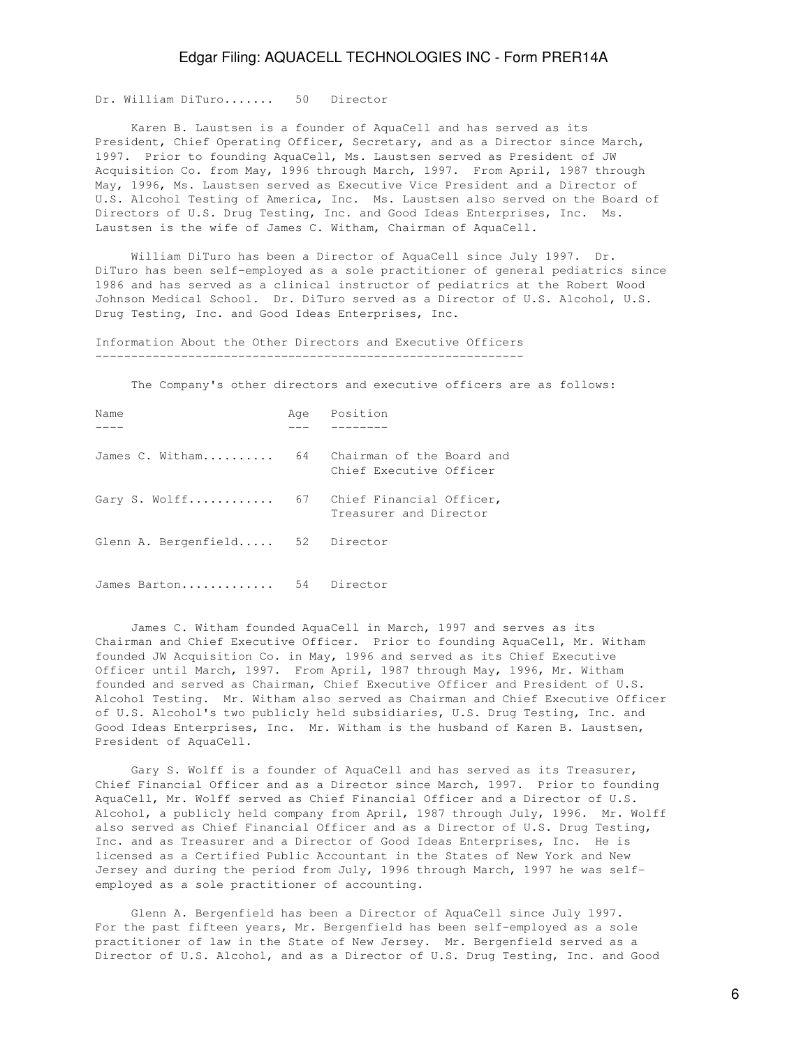Dr. William DiTuro....... 50 Director

 Karen B. Laustsen is a founder of AquaCell and has served as its President, Chief Operating Officer, Secretary, and as a Director since March, 1997. Prior to founding AquaCell, Ms. Laustsen served as President of JW Acquisition Co. from May, 1996 through March, 1997. From April, 1987 through May, 1996, Ms. Laustsen served as Executive Vice President and a Director of U.S. Alcohol Testing of America, Inc. Ms. Laustsen also served on the Board of Directors of U.S. Drug Testing, Inc. and Good Ideas Enterprises, Inc. Ms. Laustsen is the wife of James C. Witham, Chairman of AquaCell.

 William DiTuro has been a Director of AquaCell since July 1997. Dr. DiTuro has been self-employed as a sole practitioner of general pediatrics since 1986 and has served as a clinical instructor of pediatrics at the Robert Wood Johnson Medical School. Dr. DiTuro served as a Director of U.S. Alcohol, U.S. Drug Testing, Inc. and Good Ideas Enterprises, Inc.

Information About the Other Directors and Executive Officers

The Company's other directors and executive officers are as follows:

| Name                                      |    | Age Position                                         |
|-------------------------------------------|----|------------------------------------------------------|
|                                           |    |                                                      |
| James C. Witham                           | 64 | Chairman of the Board and<br>Chief Executive Officer |
| Gary S. Wolff 67 Chief Financial Officer, |    | Treasurer and Director                               |
| Glenn A. Bergenfield 52 Director          |    |                                                      |
| James Barton                              |    | 54 Director                                          |

 James C. Witham founded AquaCell in March, 1997 and serves as its Chairman and Chief Executive Officer. Prior to founding AquaCell, Mr. Witham founded JW Acquisition Co. in May, 1996 and served as its Chief Executive Officer until March, 1997. From April, 1987 through May, 1996, Mr. Witham founded and served as Chairman, Chief Executive Officer and President of U.S. Alcohol Testing. Mr. Witham also served as Chairman and Chief Executive Officer of U.S. Alcohol's two publicly held subsidiaries, U.S. Drug Testing, Inc. and Good Ideas Enterprises, Inc. Mr. Witham is the husband of Karen B. Laustsen, President of AquaCell.

 Gary S. Wolff is a founder of AquaCell and has served as its Treasurer, Chief Financial Officer and as a Director since March, 1997. Prior to founding AquaCell, Mr. Wolff served as Chief Financial Officer and a Director of U.S. Alcohol, a publicly held company from April, 1987 through July, 1996. Mr. Wolff also served as Chief Financial Officer and as a Director of U.S. Drug Testing, Inc. and as Treasurer and a Director of Good Ideas Enterprises, Inc. He is licensed as a Certified Public Accountant in the States of New York and New Jersey and during the period from July, 1996 through March, 1997 he was selfemployed as a sole practitioner of accounting.

Glenn A. Bergenfield has been a Director of AquaCell since July 1997. For the past fifteen years, Mr. Bergenfield has been self-employed as a sole practitioner of law in the State of New Jersey. Mr. Bergenfield served as a Director of U.S. Alcohol, and as a Director of U.S. Drug Testing, Inc. and Good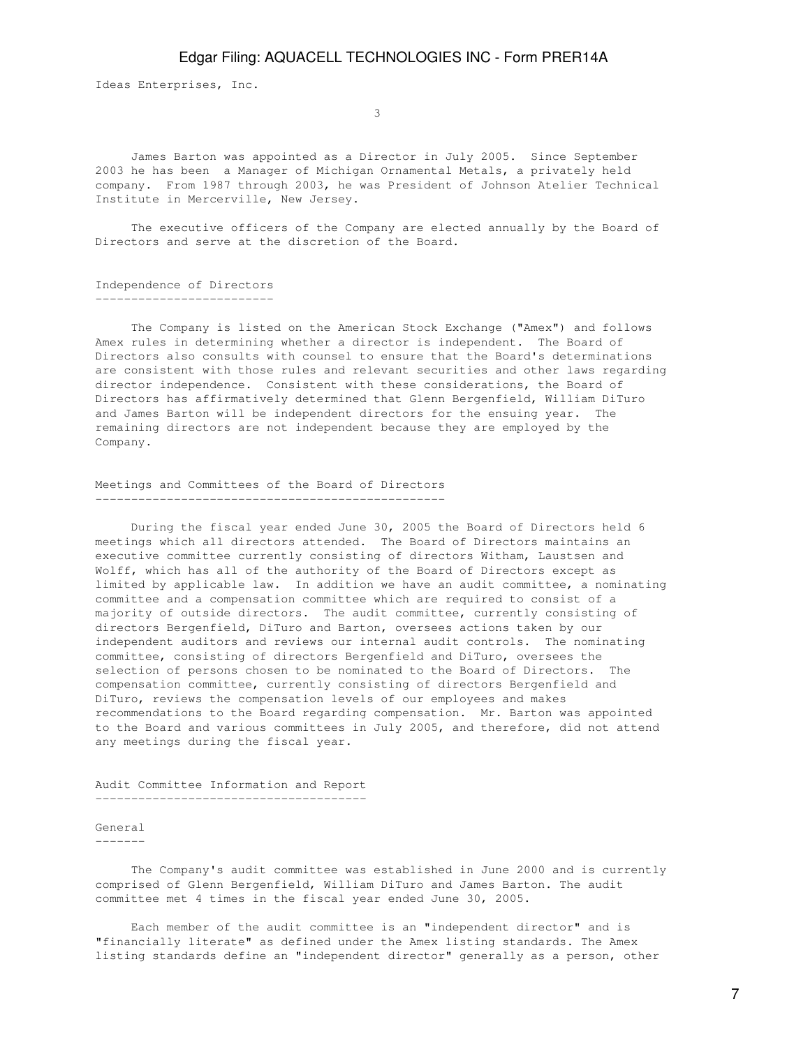Ideas Enterprises, Inc.

 $\sim$  3

 James Barton was appointed as a Director in July 2005. Since September 2003 he has been a Manager of Michigan Ornamental Metals, a privately held company. From 1987 through 2003, he was President of Johnson Atelier Technical Institute in Mercerville, New Jersey.

 The executive officers of the Company are elected annually by the Board of Directors and serve at the discretion of the Board.

#### Independence of Directors -------------------------

 The Company is listed on the American Stock Exchange ("Amex") and follows Amex rules in determining whether a director is independent. The Board of Directors also consults with counsel to ensure that the Board's determinations are consistent with those rules and relevant securities and other laws regarding director independence. Consistent with these considerations, the Board of Directors has affirmatively determined that Glenn Bergenfield, William DiTuro and James Barton will be independent directors for the ensuing year. The remaining directors are not independent because they are employed by the Company.

#### Meetings and Committees of the Board of Directors -------------------------------------------------

 During the fiscal year ended June 30, 2005 the Board of Directors held 6 meetings which all directors attended. The Board of Directors maintains an executive committee currently consisting of directors Witham, Laustsen and Wolff, which has all of the authority of the Board of Directors except as limited by applicable law. In addition we have an audit committee, a nominating committee and a compensation committee which are required to consist of a majority of outside directors. The audit committee, currently consisting of directors Bergenfield, DiTuro and Barton, oversees actions taken by our independent auditors and reviews our internal audit controls. The nominating committee, consisting of directors Bergenfield and DiTuro, oversees the selection of persons chosen to be nominated to the Board of Directors. The compensation committee, currently consisting of directors Bergenfield and DiTuro, reviews the compensation levels of our employees and makes recommendations to the Board regarding compensation. Mr. Barton was appointed to the Board and various committees in July 2005, and therefore, did not attend any meetings during the fiscal year.

Audit Committee Information and Report --------------------------------------

## General

-------

 The Company's audit committee was established in June 2000 and is currently comprised of Glenn Bergenfield, William DiTuro and James Barton. The audit committee met 4 times in the fiscal year ended June 30, 2005.

 Each member of the audit committee is an "independent director" and is "financially literate" as defined under the Amex listing standards. The Amex listing standards define an "independent director" generally as a person, other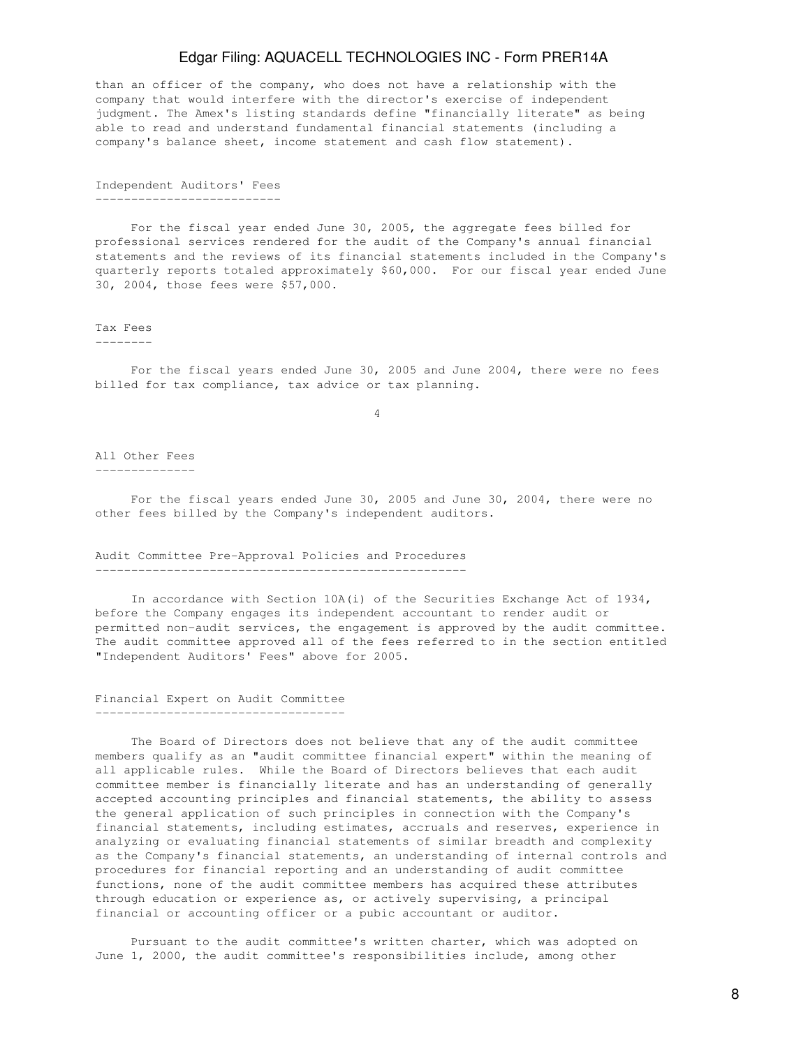than an officer of the company, who does not have a relationship with the company that would interfere with the director's exercise of independent judgment. The Amex's listing standards define "financially literate" as being able to read and understand fundamental financial statements (including a company's balance sheet, income statement and cash flow statement).

Independent Auditors' Fees --------------------------

 For the fiscal year ended June 30, 2005, the aggregate fees billed for professional services rendered for the audit of the Company's annual financial statements and the reviews of its financial statements included in the Company's quarterly reports totaled approximately \$60,000. For our fiscal year ended June 30, 2004, those fees were \$57,000.

#### Tax Fees

--------

 For the fiscal years ended June 30, 2005 and June 2004, there were no fees billed for tax compliance, tax advice or tax planning.

4

All Other Fees --------------

 For the fiscal years ended June 30, 2005 and June 30, 2004, there were no other fees billed by the Company's independent auditors.

#### Audit Committee Pre-Approval Policies and Procedures ----------------------------------------------------

 In accordance with Section 10A(i) of the Securities Exchange Act of 1934, before the Company engages its independent accountant to render audit or permitted non-audit services, the engagement is approved by the audit committee. The audit committee approved all of the fees referred to in the section entitled "Independent Auditors' Fees" above for 2005.

## Financial Expert on Audit Committee -----------------------------------

 The Board of Directors does not believe that any of the audit committee members qualify as an "audit committee financial expert" within the meaning of all applicable rules. While the Board of Directors believes that each audit committee member is financially literate and has an understanding of generally accepted accounting principles and financial statements, the ability to assess the general application of such principles in connection with the Company's financial statements, including estimates, accruals and reserves, experience in analyzing or evaluating financial statements of similar breadth and complexity as the Company's financial statements, an understanding of internal controls and procedures for financial reporting and an understanding of audit committee functions, none of the audit committee members has acquired these attributes through education or experience as, or actively supervising, a principal financial or accounting officer or a pubic accountant or auditor.

 Pursuant to the audit committee's written charter, which was adopted on June 1, 2000, the audit committee's responsibilities include, among other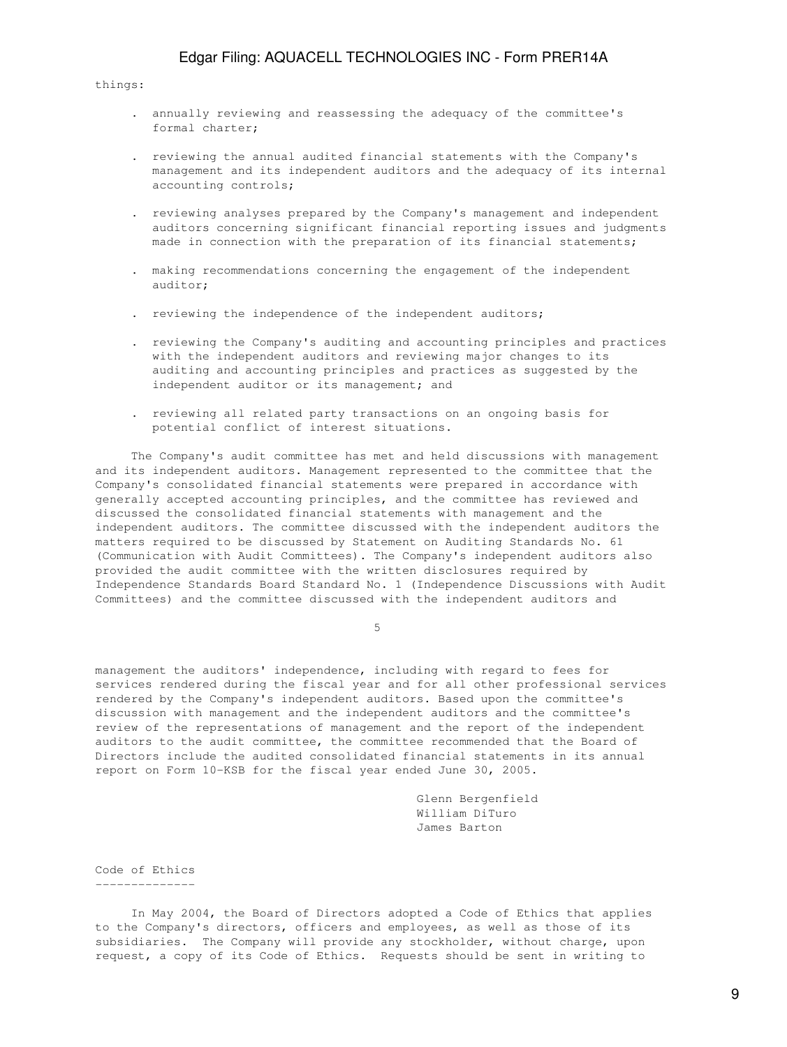things:

- . annually reviewing and reassessing the adequacy of the committee's formal charter;
- . reviewing the annual audited financial statements with the Company's management and its independent auditors and the adequacy of its internal accounting controls;
- . reviewing analyses prepared by the Company's management and independent auditors concerning significant financial reporting issues and judgments made in connection with the preparation of its financial statements;
- . making recommendations concerning the engagement of the independent auditor;
- . reviewing the independence of the independent auditors;
- . reviewing the Company's auditing and accounting principles and practices with the independent auditors and reviewing major changes to its auditing and accounting principles and practices as suggested by the independent auditor or its management; and
- . reviewing all related party transactions on an ongoing basis for potential conflict of interest situations.

 The Company's audit committee has met and held discussions with management and its independent auditors. Management represented to the committee that the Company's consolidated financial statements were prepared in accordance with generally accepted accounting principles, and the committee has reviewed and discussed the consolidated financial statements with management and the independent auditors. The committee discussed with the independent auditors the matters required to be discussed by Statement on Auditing Standards No. 61 (Communication with Audit Committees). The Company's independent auditors also provided the audit committee with the written disclosures required by Independence Standards Board Standard No. 1 (Independence Discussions with Audit Committees) and the committee discussed with the independent auditors and

 $5<sub>5</sub>$ 

management the auditors' independence, including with regard to fees for services rendered during the fiscal year and for all other professional services rendered by the Company's independent auditors. Based upon the committee's discussion with management and the independent auditors and the committee's review of the representations of management and the report of the independent auditors to the audit committee, the committee recommended that the Board of Directors include the audited consolidated financial statements in its annual report on Form 10-KSB for the fiscal year ended June 30, 2005.

> Glenn Bergenfield William DiTuro James Barton

Code of Ethics --------------

 In May 2004, the Board of Directors adopted a Code of Ethics that applies to the Company's directors, officers and employees, as well as those of its subsidiaries. The Company will provide any stockholder, without charge, upon request, a copy of its Code of Ethics. Requests should be sent in writing to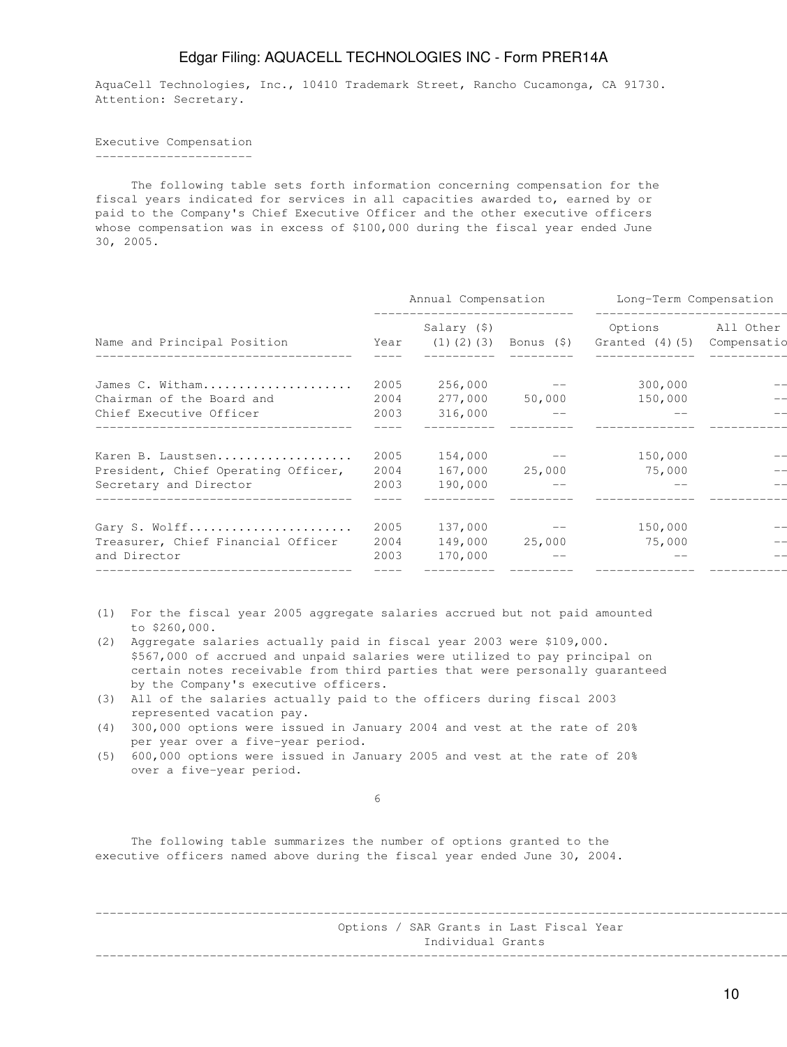AquaCell Technologies, Inc., 10410 Trademark Street, Rancho Cucamonga, CA 91730. Attention: Secretary.

Executive Compensation ----------------------

 The following table sets forth information concerning compensation for the fiscal years indicated for services in all capacities awarded to, earned by or paid to the Company's Chief Executive Officer and the other executive officers whose compensation was in excess of \$100,000 during the fiscal year ended June 30, 2005.

|                                                               |              | Annual Compensation |                                | Long-Term Compensation<br>______________________                                |  |  |
|---------------------------------------------------------------|--------------|---------------------|--------------------------------|---------------------------------------------------------------------------------|--|--|
| Name and Principal Position                                   |              | Salary (\$)         |                                | Options All Other<br>Year (1)(2)(3) Bonus $(\xi)$ Granted $(4)$ (5) Compensatio |  |  |
| James C. Witham                                               | 2005         |                     | $256,000$ --                   | 300,000                                                                         |  |  |
| Chairman of the Board and                                     | 2004         |                     | 277,000 50,000                 | 150,000                                                                         |  |  |
| Chief Executive Officer                                       | 2003         | 316,000             |                                |                                                                                 |  |  |
|                                                               |              |                     |                                |                                                                                 |  |  |
| Karen B. Laustsen                                             | 2005<br>2004 |                     | $154,000$ --<br>167,000 25,000 | 150,000<br>75,000                                                               |  |  |
| President, Chief Operating Officer,<br>Secretary and Director | 2003         | 190,000             |                                |                                                                                 |  |  |
|                                                               |              |                     |                                |                                                                                 |  |  |
| Gary S. Wolff                                                 | 2005         |                     | $137,000$ --                   | 150,000                                                                         |  |  |
| Treasurer, Chief Financial Officer<br>and Director            | 2004<br>2003 | 170,000             | 149,000 25,000                 | 75,000                                                                          |  |  |
| -------------------------------------                         |              |                     |                                |                                                                                 |  |  |

- (1) For the fiscal year 2005 aggregate salaries accrued but not paid amounted to \$260,000.
- (2) Aggregate salaries actually paid in fiscal year 2003 were \$109,000. \$567,000 of accrued and unpaid salaries were utilized to pay principal on certain notes receivable from third parties that were personally guaranteed by the Company's executive officers.
- (3) All of the salaries actually paid to the officers during fiscal 2003 represented vacation pay.
- (4) 300,000 options were issued in January 2004 and vest at the rate of 20% per year over a five-year period.
- (5) 600,000 options were issued in January 2005 and vest at the rate of 20% over a five-year period.

 $\sim$  6

 The following table summarizes the number of options granted to the executive officers named above during the fiscal year ended June 30, 2004.

------------------------------------------------------------------------------------------------------------- Options / SAR Grants in Last Fiscal Year Individual Grants -------------------------------------------------------------------------------------------------------------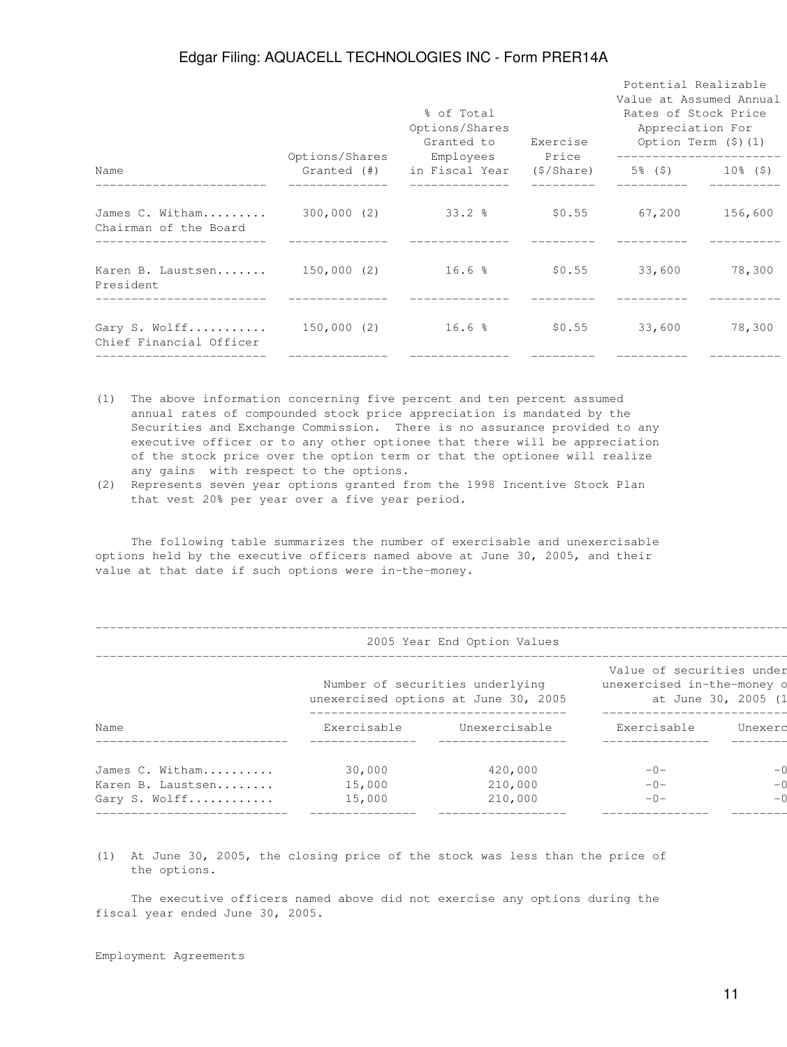|                                          |                               | % of Total<br>Options/Shares<br>Granted to | Exercise   | Potential Realizable<br>Value at Assumed Annual<br>Rates of Stock Price<br>Appreciation For<br>Option Term $(\hat{y})$ $(1)$ |                      |
|------------------------------------------|-------------------------------|--------------------------------------------|------------|------------------------------------------------------------------------------------------------------------------------------|----------------------|
| Name                                     | Options/Shares<br>Granted (#) | Employees Price<br>in Fiscal Year          | (\$/Share) | -----------------------                                                                                                      | $5\%$ (\$) 10\% (\$) |
| James C. Witham<br>Chairman of the Board | 300,000 (2)                   | $33.2$ %                                   | \$0.55     | 67,200                                                                                                                       | 156,600              |
| Karen B. Laustsen<br>President           | 150,000 (2) 16.6 %            |                                            | \$0.55     | 33,600                                                                                                                       | 78,300               |
| Gary S. Wolff<br>Chief Financial Officer | 150,000 (2)                   | 16.6 <sup>8</sup>                          | \$0.55     | 33,600                                                                                                                       | 78,300               |
|                                          |                               |                                            |            |                                                                                                                              |                      |

- (1) The above information concerning five percent and ten percent assumed annual rates of compounded stock price appreciation is mandated by the Securities and Exchange Commission. There is no assurance provided to any executive officer or to any other optionee that there will be appreciation of the stock price over the option term or that the optionee will realize any gains with respect to the options.
- (2) Represents seven year options granted from the 1998 Incentive Stock Plan that vest 20% per year over a five year period.

 The following table summarizes the number of exercisable and unexercisable options held by the executive officers named above at June 30, 2005, and their value at that date if such options were in-the-money.

| 2005 Year End Option Values |             |                                                                         |                                                                                |         |  |  |  |  |
|-----------------------------|-------------|-------------------------------------------------------------------------|--------------------------------------------------------------------------------|---------|--|--|--|--|
|                             |             | Number of securities underlying<br>unexercised options at June 30, 2005 | Value of securities under<br>unexercised in-the-money o<br>at June 30, 2005 (1 |         |  |  |  |  |
| Name                        | Exercisable | Unexercisable                                                           | Exercisable                                                                    | Unexerd |  |  |  |  |
| James C. Witham             | 30,000      | 420,000                                                                 | $-0-$                                                                          |         |  |  |  |  |
| Karen B. Laustsen           | 15,000      | 210,000                                                                 | $-0-$                                                                          |         |  |  |  |  |
| Gary S. Wolff               | 15,000      | 210,000                                                                 | $-0-$                                                                          |         |  |  |  |  |

(1) At June 30, 2005, the closing price of the stock was less than the price of the options.

 The executive officers named above did not exercise any options during the fiscal year ended June 30, 2005.

#### Employment Agreements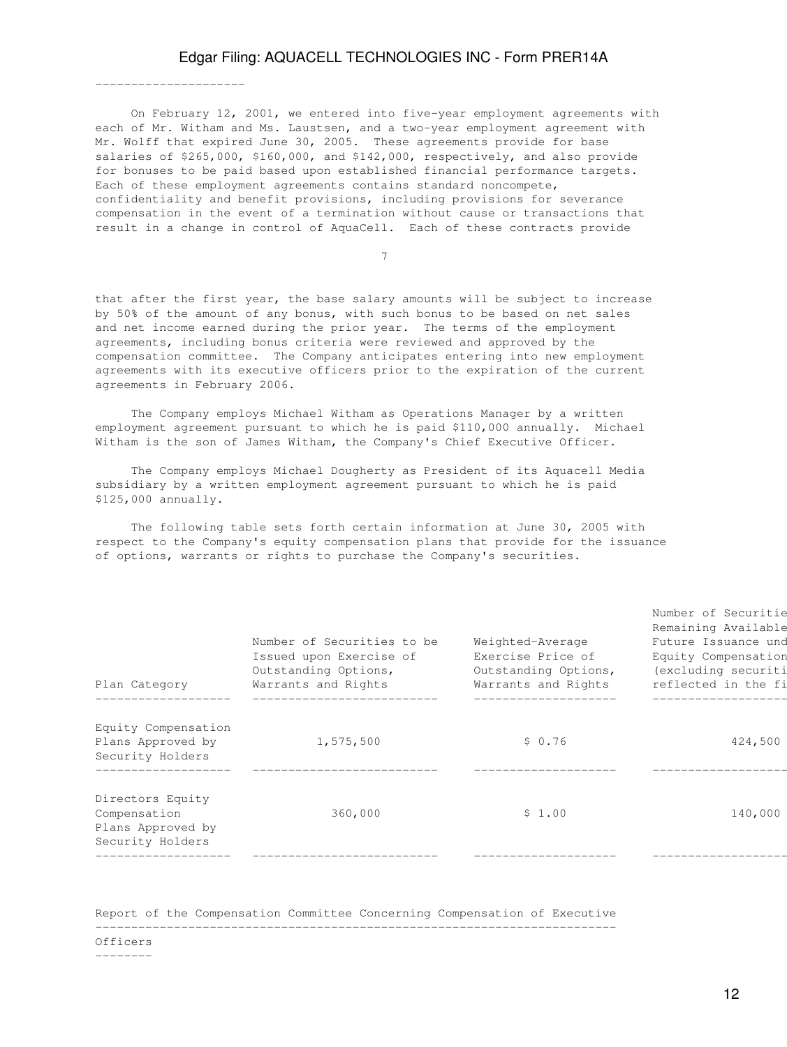On February 12, 2001, we entered into five-year employment agreements with each of Mr. Witham and Ms. Laustsen, and a two-year employment agreement with Mr. Wolff that expired June 30, 2005. These agreements provide for base salaries of \$265,000, \$160,000, and \$142,000, respectively, and also provide for bonuses to be paid based upon established financial performance targets. Each of these employment agreements contains standard noncompete, confidentiality and benefit provisions, including provisions for severance compensation in the event of a termination without cause or transactions that result in a change in control of AquaCell. Each of these contracts provide

7

that after the first year, the base salary amounts will be subject to increase by 50% of the amount of any bonus, with such bonus to be based on net sales and net income earned during the prior year. The terms of the employment agreements, including bonus criteria were reviewed and approved by the compensation committee. The Company anticipates entering into new employment agreements with its executive officers prior to the expiration of the current agreements in February 2006.

 The Company employs Michael Witham as Operations Manager by a written employment agreement pursuant to which he is paid \$110,000 annually. Michael Witham is the son of James Witham, the Company's Chief Executive Officer.

 The Company employs Michael Dougherty as President of its Aquacell Media subsidiary by a written employment agreement pursuant to which he is paid \$125,000 annually.

 The following table sets forth certain information at June 30, 2005 with respect to the Company's equity compensation plans that provide for the issuance of options, warrants or rights to purchase the Company's securities.

| Plan Category                                                             | Number of Securities to be<br>Issued upon Exercise of<br>Outstanding Options,<br>Warrants and Rights | Weighted-Average<br>Exercise Price of<br>Outstanding Options,<br>Warrants and Rights | Remaining Available<br>Future Issuance und<br>Equity Compensation<br>(excluding securiti<br>reflected in the fi |
|---------------------------------------------------------------------------|------------------------------------------------------------------------------------------------------|--------------------------------------------------------------------------------------|-----------------------------------------------------------------------------------------------------------------|
| Equity Compensation<br>Plans Approved by<br>Security Holders              | 1,575,500                                                                                            | \$0.76                                                                               | 424,500                                                                                                         |
| Directors Equity<br>Compensation<br>Plans Approved by<br>Security Holders | 360,000                                                                                              | \$1.00                                                                               | 140,000                                                                                                         |

Report of the Compensation Committee Concerning Compensation of Executive ------------------------------------------------------------------------- Officers

--------

---------------------

Number of Securitie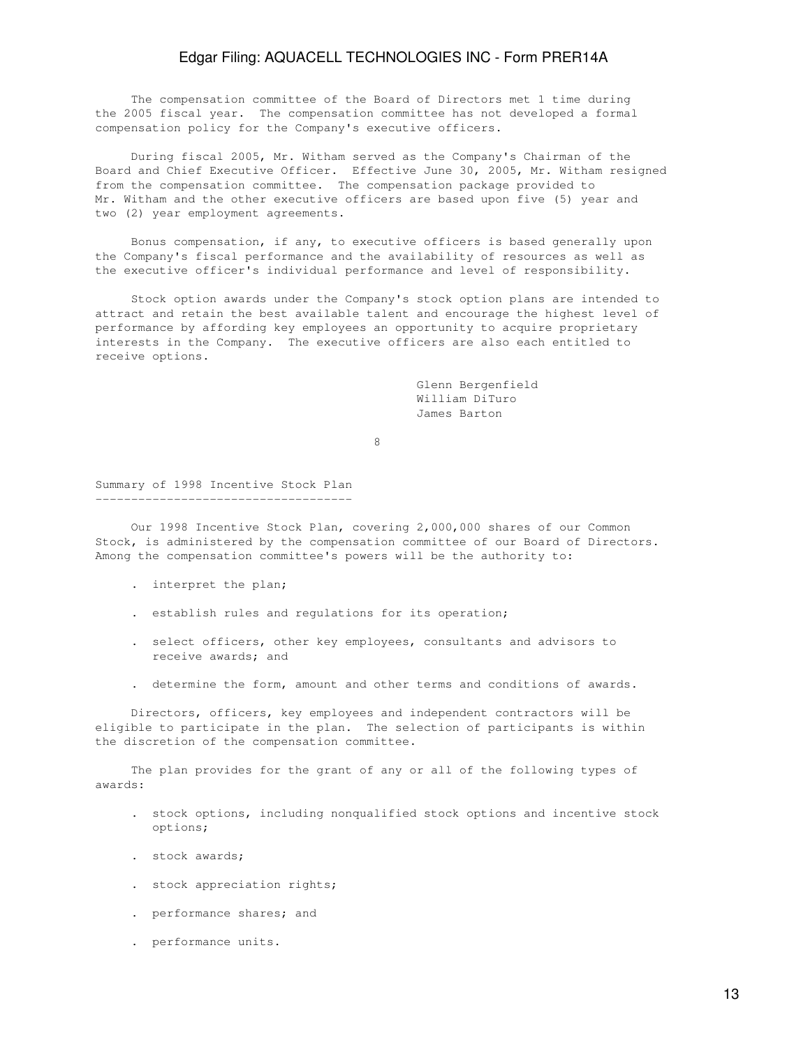The compensation committee of the Board of Directors met 1 time during the 2005 fiscal year. The compensation committee has not developed a formal compensation policy for the Company's executive officers.

 During fiscal 2005, Mr. Witham served as the Company's Chairman of the Board and Chief Executive Officer. Effective June 30, 2005, Mr. Witham resigned from the compensation committee. The compensation package provided to Mr. Witham and the other executive officers are based upon five (5) year and two (2) year employment agreements.

 Bonus compensation, if any, to executive officers is based generally upon the Company's fiscal performance and the availability of resources as well as the executive officer's individual performance and level of responsibility.

 Stock option awards under the Company's stock option plans are intended to attract and retain the best available talent and encourage the highest level of performance by affording key employees an opportunity to acquire proprietary interests in the Company. The executive officers are also each entitled to receive options.

> Glenn Bergenfield William DiTuro James Barton

en andere de la provincia de la provincia de la provincia de la provincia de la provincia de la provincia de<br>En la provincia de la provincia de la provincia de la provincia de la provincia de la provincia de la provinci

Summary of 1998 Incentive Stock Plan ------------------------------------

 Our 1998 Incentive Stock Plan, covering 2,000,000 shares of our Common Stock, is administered by the compensation committee of our Board of Directors. Among the compensation committee's powers will be the authority to:

- . interpret the plan;
- . establish rules and regulations for its operation;
- . select officers, other key employees, consultants and advisors to receive awards; and
- . determine the form, amount and other terms and conditions of awards.

 Directors, officers, key employees and independent contractors will be eligible to participate in the plan. The selection of participants is within the discretion of the compensation committee.

 The plan provides for the grant of any or all of the following types of awards:

- . stock options, including nonqualified stock options and incentive stock options;
- . stock awards;
- . stock appreciation rights;
- . performance shares; and
- . performance units.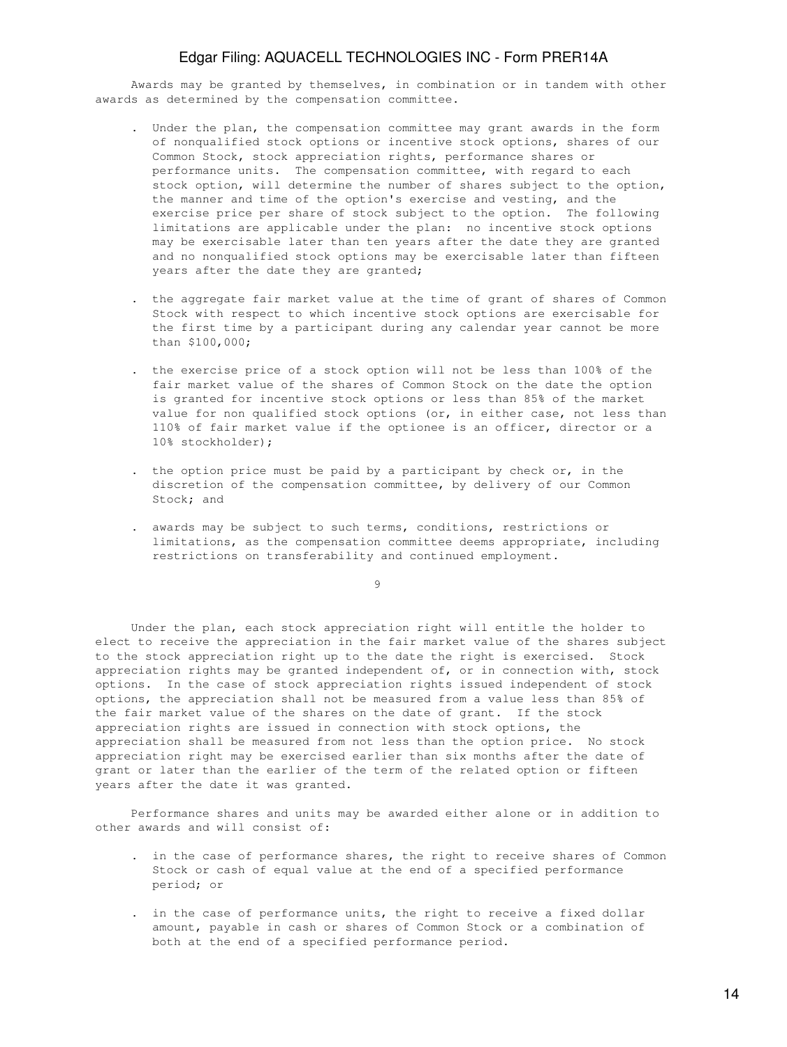Awards may be granted by themselves, in combination or in tandem with other awards as determined by the compensation committee.

- . Under the plan, the compensation committee may grant awards in the form of nonqualified stock options or incentive stock options, shares of our Common Stock, stock appreciation rights, performance shares or performance units. The compensation committee, with regard to each stock option, will determine the number of shares subject to the option, the manner and time of the option's exercise and vesting, and the exercise price per share of stock subject to the option. The following limitations are applicable under the plan: no incentive stock options may be exercisable later than ten years after the date they are granted and no nonqualified stock options may be exercisable later than fifteen years after the date they are granted;
- . the aggregate fair market value at the time of grant of shares of Common Stock with respect to which incentive stock options are exercisable for the first time by a participant during any calendar year cannot be more than \$100,000;
- . the exercise price of a stock option will not be less than 100% of the fair market value of the shares of Common Stock on the date the option is granted for incentive stock options or less than 85% of the market value for non qualified stock options (or, in either case, not less than 110% of fair market value if the optionee is an officer, director or a 10% stockholder);
- . the option price must be paid by a participant by check or, in the discretion of the compensation committee, by delivery of our Common Stock; and
- . awards may be subject to such terms, conditions, restrictions or limitations, as the compensation committee deems appropriate, including restrictions on transferability and continued employment.

9

 Under the plan, each stock appreciation right will entitle the holder to elect to receive the appreciation in the fair market value of the shares subject to the stock appreciation right up to the date the right is exercised. Stock appreciation rights may be granted independent of, or in connection with, stock options. In the case of stock appreciation rights issued independent of stock options, the appreciation shall not be measured from a value less than 85% of the fair market value of the shares on the date of grant. If the stock appreciation rights are issued in connection with stock options, the appreciation shall be measured from not less than the option price. No stock appreciation right may be exercised earlier than six months after the date of grant or later than the earlier of the term of the related option or fifteen years after the date it was granted.

 Performance shares and units may be awarded either alone or in addition to other awards and will consist of:

- . in the case of performance shares, the right to receive shares of Common Stock or cash of equal value at the end of a specified performance period; or
- . in the case of performance units, the right to receive a fixed dollar amount, payable in cash or shares of Common Stock or a combination of both at the end of a specified performance period.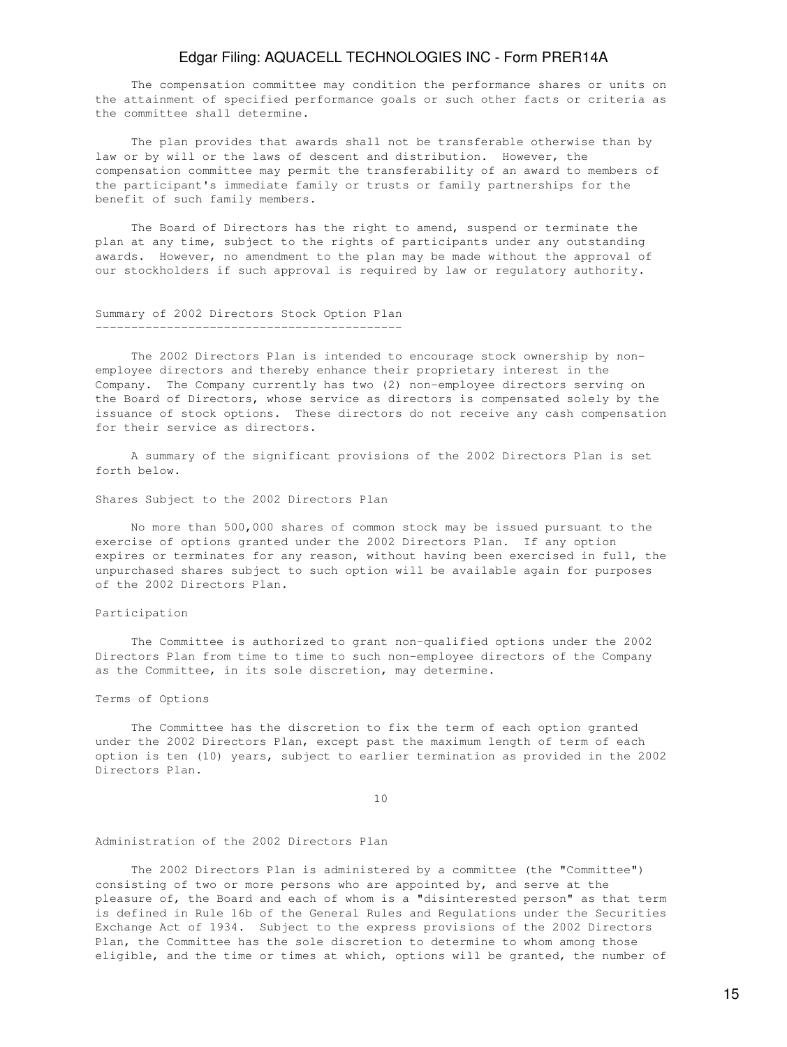The compensation committee may condition the performance shares or units on the attainment of specified performance goals or such other facts or criteria as the committee shall determine.

 The plan provides that awards shall not be transferable otherwise than by law or by will or the laws of descent and distribution. However, the compensation committee may permit the transferability of an award to members of the participant's immediate family or trusts or family partnerships for the benefit of such family members.

 The Board of Directors has the right to amend, suspend or terminate the plan at any time, subject to the rights of participants under any outstanding awards. However, no amendment to the plan may be made without the approval of our stockholders if such approval is required by law or regulatory authority.

## Summary of 2002 Directors Stock Option Plan -------------------------------------------

 The 2002 Directors Plan is intended to encourage stock ownership by nonemployee directors and thereby enhance their proprietary interest in the Company. The Company currently has two (2) non-employee directors serving on the Board of Directors, whose service as directors is compensated solely by the issuance of stock options. These directors do not receive any cash compensation for their service as directors.

 A summary of the significant provisions of the 2002 Directors Plan is set forth below.

Shares Subject to the 2002 Directors Plan

 No more than 500,000 shares of common stock may be issued pursuant to the exercise of options granted under the 2002 Directors Plan. If any option expires or terminates for any reason, without having been exercised in full, the unpurchased shares subject to such option will be available again for purposes of the 2002 Directors Plan.

#### Participation

 The Committee is authorized to grant non-qualified options under the 2002 Directors Plan from time to time to such non-employee directors of the Company as the Committee, in its sole discretion, may determine.

#### Terms of Options

 The Committee has the discretion to fix the term of each option granted under the 2002 Directors Plan, except past the maximum length of term of each option is ten (10) years, subject to earlier termination as provided in the 2002 Directors Plan.

10

#### Administration of the 2002 Directors Plan

 The 2002 Directors Plan is administered by a committee (the "Committee") consisting of two or more persons who are appointed by, and serve at the pleasure of, the Board and each of whom is a "disinterested person" as that term is defined in Rule 16b of the General Rules and Regulations under the Securities Exchange Act of 1934. Subject to the express provisions of the 2002 Directors Plan, the Committee has the sole discretion to determine to whom among those eligible, and the time or times at which, options will be granted, the number of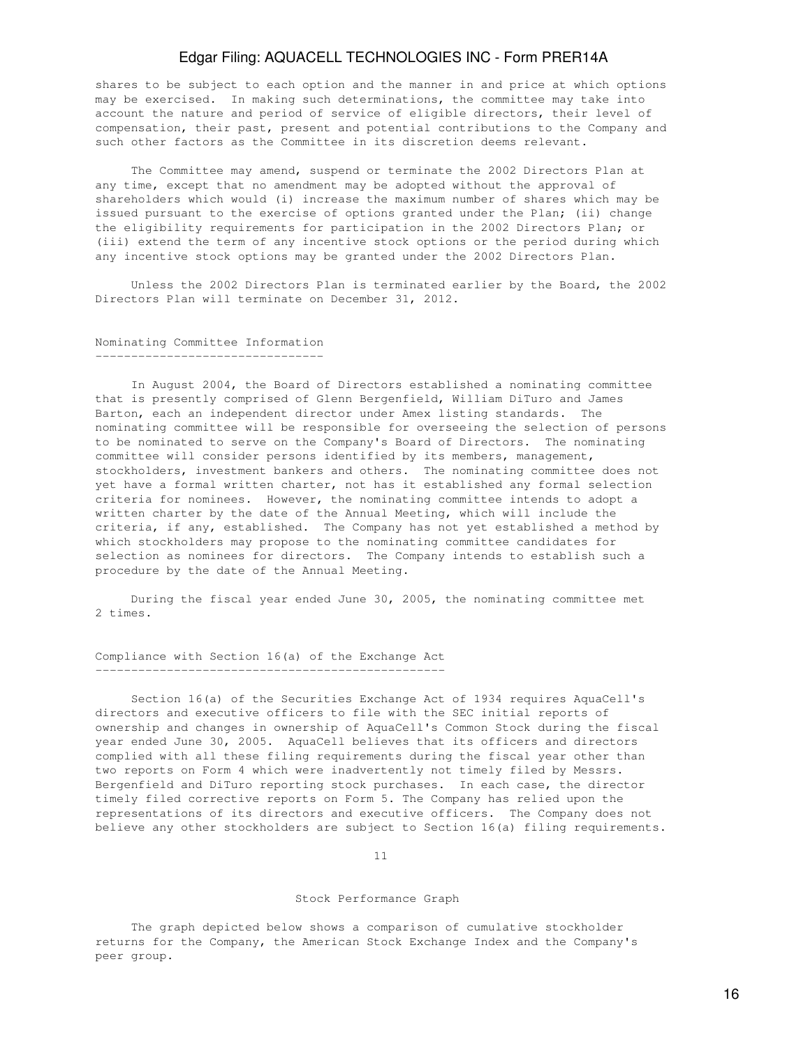shares to be subject to each option and the manner in and price at which options may be exercised. In making such determinations, the committee may take into account the nature and period of service of eligible directors, their level of compensation, their past, present and potential contributions to the Company and such other factors as the Committee in its discretion deems relevant.

 The Committee may amend, suspend or terminate the 2002 Directors Plan at any time, except that no amendment may be adopted without the approval of shareholders which would (i) increase the maximum number of shares which may be issued pursuant to the exercise of options granted under the Plan; (ii) change the eligibility requirements for participation in the 2002 Directors Plan; or (iii) extend the term of any incentive stock options or the period during which any incentive stock options may be granted under the 2002 Directors Plan.

 Unless the 2002 Directors Plan is terminated earlier by the Board, the 2002 Directors Plan will terminate on December 31, 2012.

## Nominating Committee Information --------------------------------

 In August 2004, the Board of Directors established a nominating committee that is presently comprised of Glenn Bergenfield, William DiTuro and James Barton, each an independent director under Amex listing standards. The nominating committee will be responsible for overseeing the selection of persons to be nominated to serve on the Company's Board of Directors. The nominating committee will consider persons identified by its members, management, stockholders, investment bankers and others. The nominating committee does not yet have a formal written charter, not has it established any formal selection criteria for nominees. However, the nominating committee intends to adopt a written charter by the date of the Annual Meeting, which will include the criteria, if any, established. The Company has not yet established a method by which stockholders may propose to the nominating committee candidates for selection as nominees for directors. The Company intends to establish such a procedure by the date of the Annual Meeting.

 During the fiscal year ended June 30, 2005, the nominating committee met 2 times.

#### Compliance with Section 16(a) of the Exchange Act -------------------------------------------------

 Section 16(a) of the Securities Exchange Act of 1934 requires AquaCell's directors and executive officers to file with the SEC initial reports of ownership and changes in ownership of AquaCell's Common Stock during the fiscal year ended June 30, 2005. AquaCell believes that its officers and directors complied with all these filing requirements during the fiscal year other than two reports on Form 4 which were inadvertently not timely filed by Messrs. Bergenfield and DiTuro reporting stock purchases. In each case, the director timely filed corrective reports on Form 5. The Company has relied upon the representations of its directors and executive officers. The Company does not believe any other stockholders are subject to Section 16(a) filing requirements.

11

#### Stock Performance Graph

 The graph depicted below shows a comparison of cumulative stockholder returns for the Company, the American Stock Exchange Index and the Company's peer group.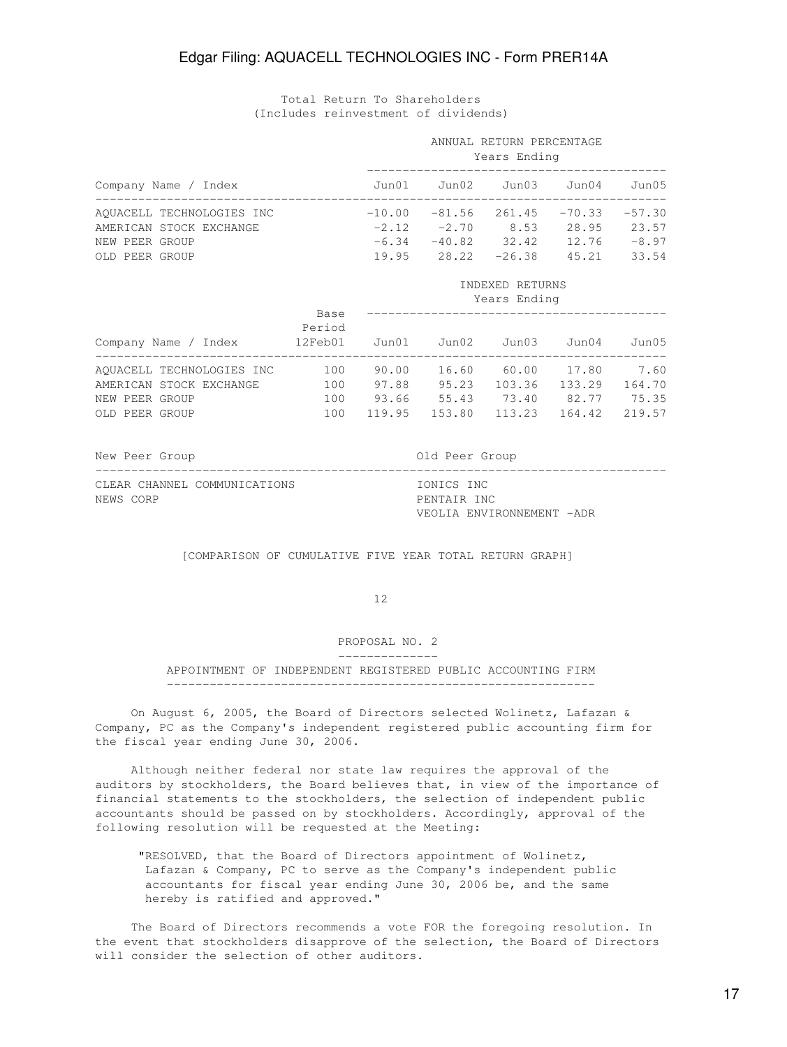## Total Return To Shareholders (Includes reinvestment of dividends)

|                           |                                            | ANNUAL RETURN PERCENTAGE<br>Years Ending |                                        |                 |  |         |
|---------------------------|--------------------------------------------|------------------------------------------|----------------------------------------|-----------------|--|---------|
| Company Name / Index      |                                            | Jun01 Jun02 Jun03 Jun04 Jun05            |                                        |                 |  |         |
| AQUACELL TECHNOLOGIES INC | $-10.00$ $-81.56$ 261.45 $-70.33$ $-57.30$ |                                          |                                        |                 |  |         |
| AMERICAN STOCK EXCHANGE   |                                            |                                          | $-2.12$ $-2.70$ 8.53 28.95             |                 |  | 23.57   |
| NEW PEER GROUP            |                                            |                                          | $-6.34$ $-40.82$ $32.42$ $12.76$       |                 |  | $-8.97$ |
| OLD PEER GROUP            |                                            |                                          | $19.95$ $28.22$ $-26.38$ $45.21$       |                 |  | 33.54   |
|                           |                                            |                                          |                                        | INDEXED RETURNS |  |         |
|                           |                                            |                                          |                                        | Years Ending    |  |         |
|                           | Base<br>Period                             |                                          |                                        |                 |  | Jun05   |
|                           |                                            |                                          |                                        |                 |  |         |
| AMERICAN STOCK EXCHANGE   | 100                                        |                                          | 97.88  95.23  103.36  133.29  164.70   |                 |  |         |
| NEW PEER GROUP            |                                            |                                          | 100 93.66 55.43 73.40 82.77 75.35      |                 |  |         |
| OLD PEER GROUP            |                                            |                                          | 100 119.95 153.80 113.23 164.42 219.57 |                 |  |         |

New Peer Group and Communications of the Old Peer Group

CLEAR CHANNEL COMMUNICATIONS **IONICS** INC NEWS CORP **PENTAIR INC.** 

VEOLIA ENVIRONNEMENT -ADR

[COMPARISON OF CUMULATIVE FIVE YEAR TOTAL RETURN GRAPH]

--------------------------------------------------------------------------------

12

### PROPOSAL NO. 2

--------------

## APPOINTMENT OF INDEPENDENT REGISTERED PUBLIC ACCOUNTING FIRM ------------------------------------------------------------

 On August 6, 2005, the Board of Directors selected Wolinetz, Lafazan & Company, PC as the Company's independent registered public accounting firm for the fiscal year ending June 30, 2006.

 Although neither federal nor state law requires the approval of the auditors by stockholders, the Board believes that, in view of the importance of financial statements to the stockholders, the selection of independent public accountants should be passed on by stockholders. Accordingly, approval of the following resolution will be requested at the Meeting:

 "RESOLVED, that the Board of Directors appointment of Wolinetz, Lafazan & Company, PC to serve as the Company's independent public accountants for fiscal year ending June 30, 2006 be, and the same hereby is ratified and approved."

 The Board of Directors recommends a vote FOR the foregoing resolution. In the event that stockholders disapprove of the selection, the Board of Directors will consider the selection of other auditors.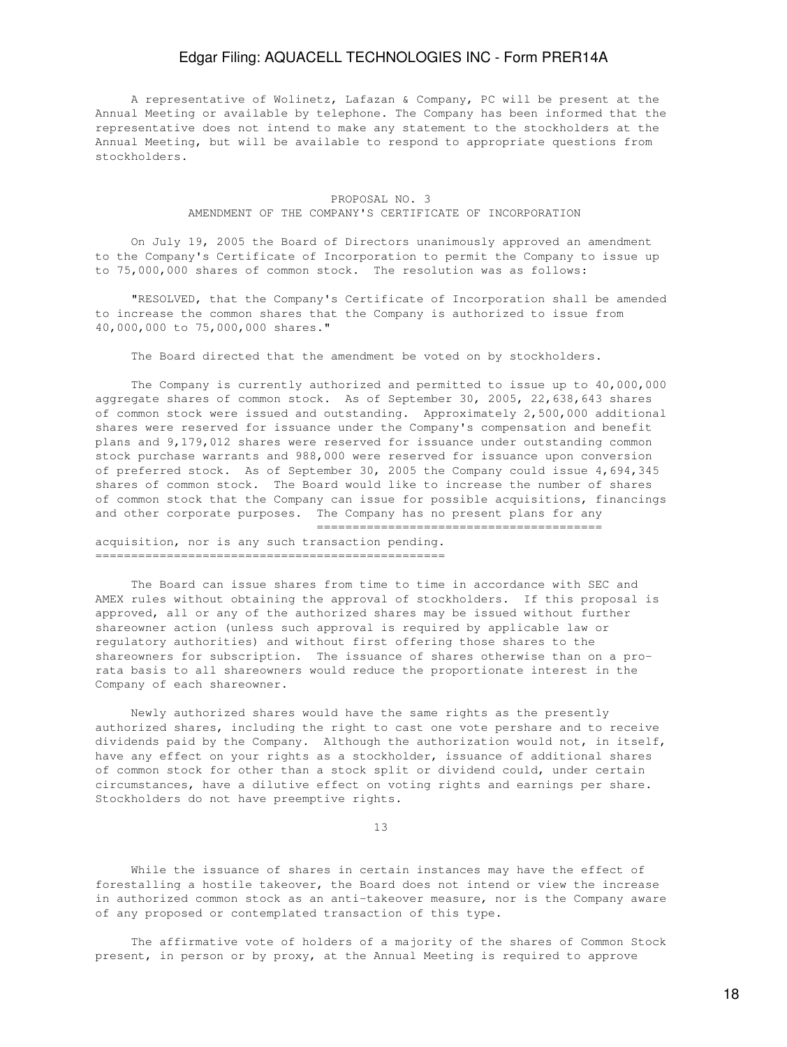A representative of Wolinetz, Lafazan & Company, PC will be present at the Annual Meeting or available by telephone. The Company has been informed that the representative does not intend to make any statement to the stockholders at the Annual Meeting, but will be available to respond to appropriate questions from stockholders.

## PROPOSAL NO. 3 AMENDMENT OF THE COMPANY'S CERTIFICATE OF INCORPORATION

 On July 19, 2005 the Board of Directors unanimously approved an amendment to the Company's Certificate of Incorporation to permit the Company to issue up to 75,000,000 shares of common stock. The resolution was as follows:

 "RESOLVED, that the Company's Certificate of Incorporation shall be amended to increase the common shares that the Company is authorized to issue from 40,000,000 to 75,000,000 shares."

The Board directed that the amendment be voted on by stockholders.

 The Company is currently authorized and permitted to issue up to 40,000,000 aggregate shares of common stock. As of September 30, 2005, 22,638,643 shares of common stock were issued and outstanding. Approximately 2,500,000 additional shares were reserved for issuance under the Company's compensation and benefit plans and 9,179,012 shares were reserved for issuance under outstanding common stock purchase warrants and 988,000 were reserved for issuance upon conversion of preferred stock. As of September 30, 2005 the Company could issue 4,694,345 shares of common stock. The Board would like to increase the number of shares of common stock that the Company can issue for possible acquisitions, financings and other corporate purposes. The Company has no present plans for any ========================================

acquisition, nor is any such transaction pending. =================================================

 The Board can issue shares from time to time in accordance with SEC and AMEX rules without obtaining the approval of stockholders. If this proposal is approved, all or any of the authorized shares may be issued without further shareowner action (unless such approval is required by applicable law or regulatory authorities) and without first offering those shares to the shareowners for subscription. The issuance of shares otherwise than on a prorata basis to all shareowners would reduce the proportionate interest in the Company of each shareowner.

 Newly authorized shares would have the same rights as the presently authorized shares, including the right to cast one vote pershare and to receive dividends paid by the Company. Although the authorization would not, in itself, have any effect on your rights as a stockholder, issuance of additional shares of common stock for other than a stock split or dividend could, under certain circumstances, have a dilutive effect on voting rights and earnings per share. Stockholders do not have preemptive rights.

13

 While the issuance of shares in certain instances may have the effect of forestalling a hostile takeover, the Board does not intend or view the increase in authorized common stock as an anti-takeover measure, nor is the Company aware of any proposed or contemplated transaction of this type.

 The affirmative vote of holders of a majority of the shares of Common Stock present, in person or by proxy, at the Annual Meeting is required to approve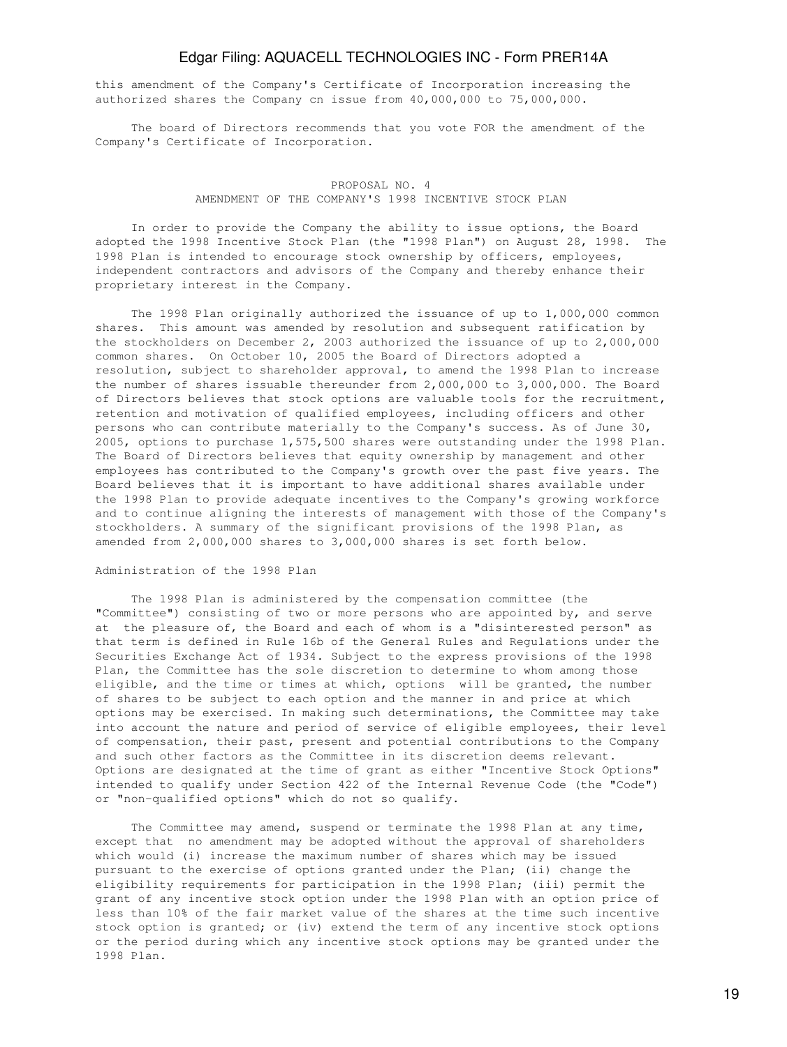this amendment of the Company's Certificate of Incorporation increasing the authorized shares the Company cn issue from 40,000,000 to 75,000,000.

 The board of Directors recommends that you vote FOR the amendment of the Company's Certificate of Incorporation.

## PROPOSAL NO. 4 AMENDMENT OF THE COMPANY'S 1998 INCENTIVE STOCK PLAN

 In order to provide the Company the ability to issue options, the Board adopted the 1998 Incentive Stock Plan (the "1998 Plan") on August 28, 1998. The 1998 Plan is intended to encourage stock ownership by officers, employees, independent contractors and advisors of the Company and thereby enhance their proprietary interest in the Company.

 The 1998 Plan originally authorized the issuance of up to 1,000,000 common shares. This amount was amended by resolution and subsequent ratification by the stockholders on December 2, 2003 authorized the issuance of up to 2,000,000 common shares. On October 10, 2005 the Board of Directors adopted a resolution, subject to shareholder approval, to amend the 1998 Plan to increase the number of shares issuable thereunder from 2,000,000 to 3,000,000. The Board of Directors believes that stock options are valuable tools for the recruitment, retention and motivation of qualified employees, including officers and other persons who can contribute materially to the Company's success. As of June 30, 2005, options to purchase 1,575,500 shares were outstanding under the 1998 Plan. The Board of Directors believes that equity ownership by management and other employees has contributed to the Company's growth over the past five years. The Board believes that it is important to have additional shares available under the 1998 Plan to provide adequate incentives to the Company's growing workforce and to continue aligning the interests of management with those of the Company's stockholders. A summary of the significant provisions of the 1998 Plan, as amended from 2,000,000 shares to 3,000,000 shares is set forth below.

## Administration of the 1998 Plan

 The 1998 Plan is administered by the compensation committee (the "Committee") consisting of two or more persons who are appointed by, and serve at the pleasure of, the Board and each of whom is a "disinterested person" as that term is defined in Rule 16b of the General Rules and Regulations under the Securities Exchange Act of 1934. Subject to the express provisions of the 1998 Plan, the Committee has the sole discretion to determine to whom among those eligible, and the time or times at which, options will be granted, the number of shares to be subject to each option and the manner in and price at which options may be exercised. In making such determinations, the Committee may take into account the nature and period of service of eligible employees, their level of compensation, their past, present and potential contributions to the Company and such other factors as the Committee in its discretion deems relevant. Options are designated at the time of grant as either "Incentive Stock Options" intended to qualify under Section 422 of the Internal Revenue Code (the "Code") or "non-qualified options" which do not so qualify.

 The Committee may amend, suspend or terminate the 1998 Plan at any time, except that no amendment may be adopted without the approval of shareholders which would (i) increase the maximum number of shares which may be issued pursuant to the exercise of options granted under the Plan; (ii) change the eligibility requirements for participation in the 1998 Plan; (iii) permit the grant of any incentive stock option under the 1998 Plan with an option price of less than 10% of the fair market value of the shares at the time such incentive stock option is granted; or (iv) extend the term of any incentive stock options or the period during which any incentive stock options may be granted under the 1998 Plan.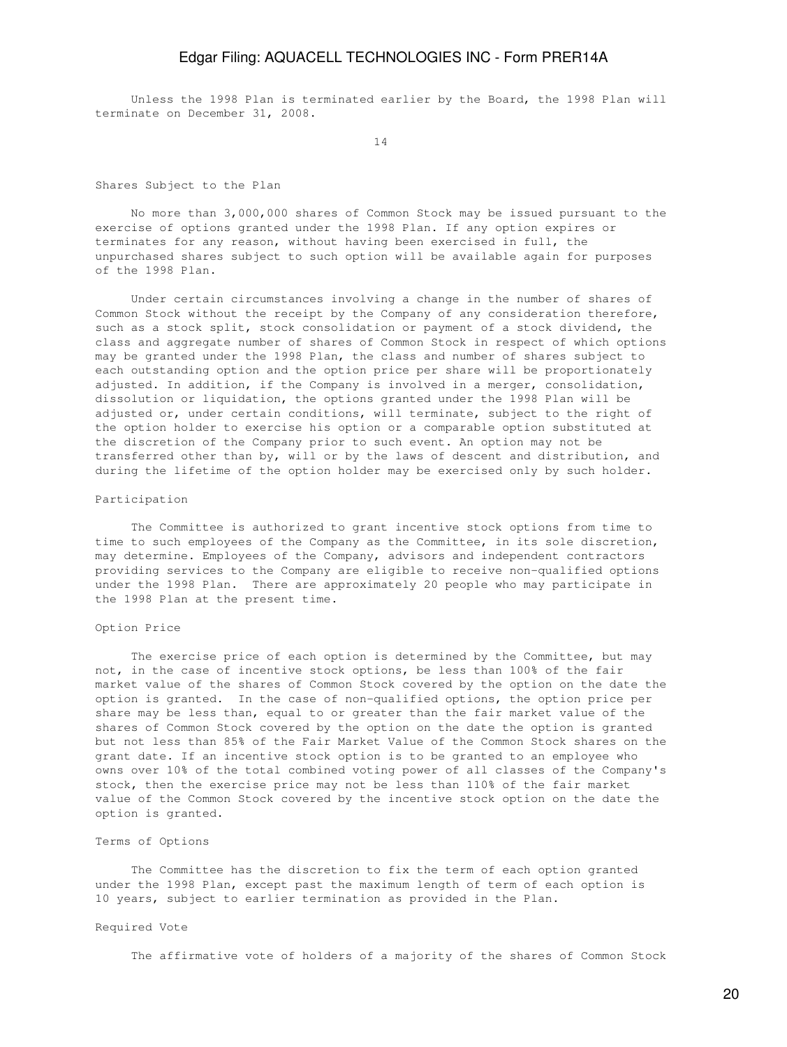Unless the 1998 Plan is terminated earlier by the Board, the 1998 Plan will terminate on December 31, 2008.

14

Shares Subject to the Plan

 No more than 3,000,000 shares of Common Stock may be issued pursuant to the exercise of options granted under the 1998 Plan. If any option expires or terminates for any reason, without having been exercised in full, the unpurchased shares subject to such option will be available again for purposes of the 1998 Plan.

 Under certain circumstances involving a change in the number of shares of Common Stock without the receipt by the Company of any consideration therefore, such as a stock split, stock consolidation or payment of a stock dividend, the class and aggregate number of shares of Common Stock in respect of which options may be granted under the 1998 Plan, the class and number of shares subject to each outstanding option and the option price per share will be proportionately adjusted. In addition, if the Company is involved in a merger, consolidation, dissolution or liquidation, the options granted under the 1998 Plan will be adjusted or, under certain conditions, will terminate, subject to the right of the option holder to exercise his option or a comparable option substituted at the discretion of the Company prior to such event. An option may not be transferred other than by, will or by the laws of descent and distribution, and during the lifetime of the option holder may be exercised only by such holder.

#### Participation

 The Committee is authorized to grant incentive stock options from time to time to such employees of the Company as the Committee, in its sole discretion, may determine. Employees of the Company, advisors and independent contractors providing services to the Company are eligible to receive non-qualified options under the 1998 Plan. There are approximately 20 people who may participate in the 1998 Plan at the present time.

#### Option Price

 The exercise price of each option is determined by the Committee, but may not, in the case of incentive stock options, be less than 100% of the fair market value of the shares of Common Stock covered by the option on the date the option is granted. In the case of non-qualified options, the option price per share may be less than, equal to or greater than the fair market value of the shares of Common Stock covered by the option on the date the option is granted but not less than 85% of the Fair Market Value of the Common Stock shares on the grant date. If an incentive stock option is to be granted to an employee who owns over 10% of the total combined voting power of all classes of the Company's stock, then the exercise price may not be less than 110% of the fair market value of the Common Stock covered by the incentive stock option on the date the option is granted.

## Terms of Options

 The Committee has the discretion to fix the term of each option granted under the 1998 Plan, except past the maximum length of term of each option is 10 years, subject to earlier termination as provided in the Plan.

#### Required Vote

The affirmative vote of holders of a majority of the shares of Common Stock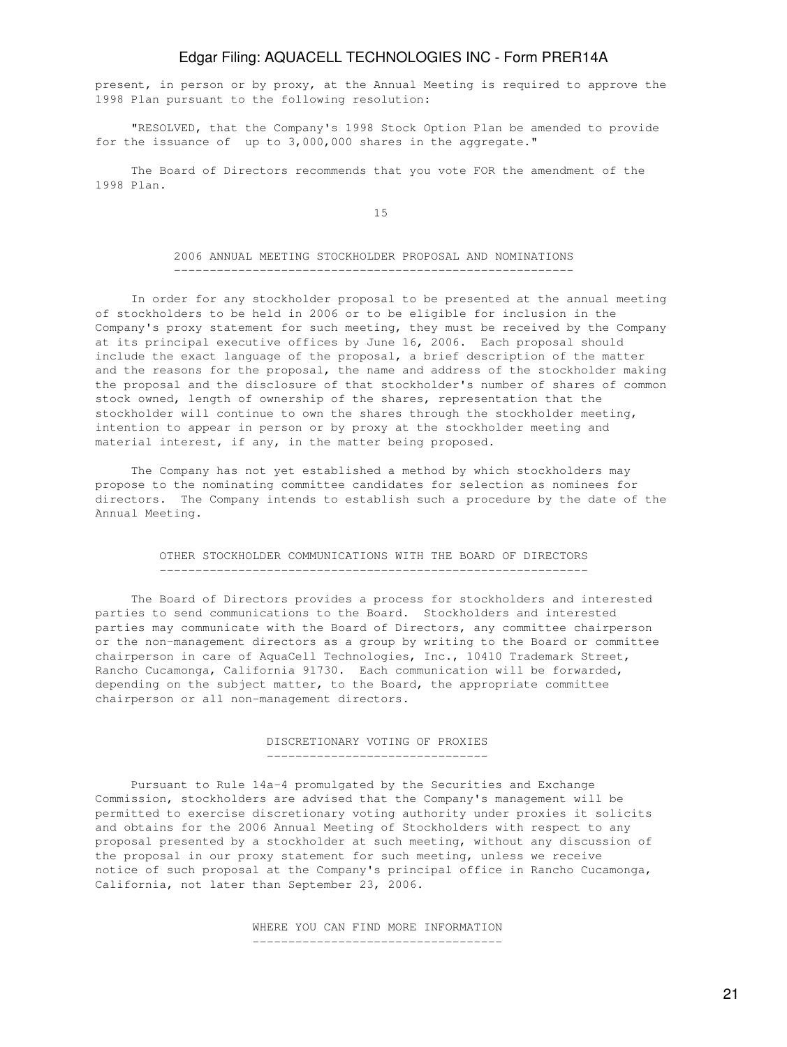present, in person or by proxy, at the Annual Meeting is required to approve the 1998 Plan pursuant to the following resolution:

 "RESOLVED, that the Company's 1998 Stock Option Plan be amended to provide for the issuance of up to 3,000,000 shares in the aggregate."

 The Board of Directors recommends that you vote FOR the amendment of the 1998 Plan.

15

#### 2006 ANNUAL MEETING STOCKHOLDER PROPOSAL AND NOMINATIONS --------------------------------------------------------

 In order for any stockholder proposal to be presented at the annual meeting of stockholders to be held in 2006 or to be eligible for inclusion in the Company's proxy statement for such meeting, they must be received by the Company at its principal executive offices by June 16, 2006. Each proposal should include the exact language of the proposal, a brief description of the matter and the reasons for the proposal, the name and address of the stockholder making the proposal and the disclosure of that stockholder's number of shares of common stock owned, length of ownership of the shares, representation that the stockholder will continue to own the shares through the stockholder meeting, intention to appear in person or by proxy at the stockholder meeting and material interest, if any, in the matter being proposed.

 The Company has not yet established a method by which stockholders may propose to the nominating committee candidates for selection as nominees for directors. The Company intends to establish such a procedure by the date of the Annual Meeting.

#### OTHER STOCKHOLDER COMMUNICATIONS WITH THE BOARD OF DIRECTORS ------------------------------------------------------------

 The Board of Directors provides a process for stockholders and interested parties to send communications to the Board. Stockholders and interested parties may communicate with the Board of Directors, any committee chairperson or the non-management directors as a group by writing to the Board or committee chairperson in care of AquaCell Technologies, Inc., 10410 Trademark Street, Rancho Cucamonga, California 91730. Each communication will be forwarded, depending on the subject matter, to the Board, the appropriate committee chairperson or all non-management directors.

#### DISCRETIONARY VOTING OF PROXIES -------------------------------

 Pursuant to Rule 14a-4 promulgated by the Securities and Exchange Commission, stockholders are advised that the Company's management will be permitted to exercise discretionary voting authority under proxies it solicits and obtains for the 2006 Annual Meeting of Stockholders with respect to any proposal presented by a stockholder at such meeting, without any discussion of the proposal in our proxy statement for such meeting, unless we receive notice of such proposal at the Company's principal office in Rancho Cucamonga, California, not later than September 23, 2006.

> WHERE YOU CAN FIND MORE INFORMATION -----------------------------------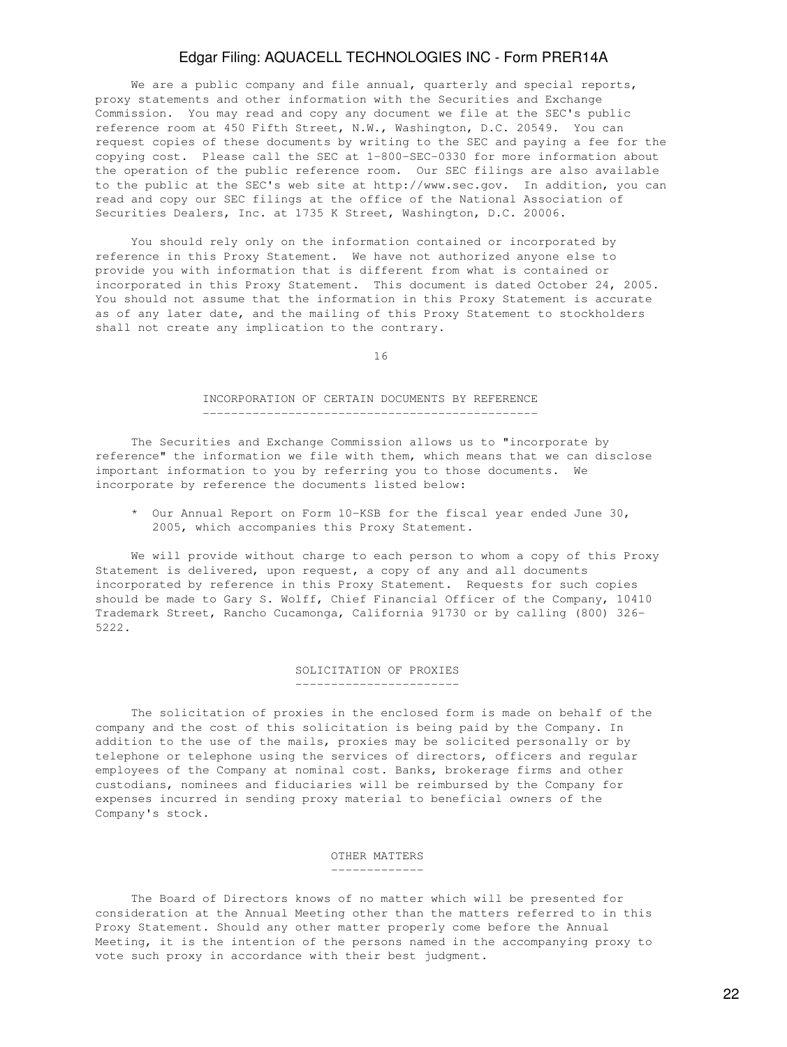We are a public company and file annual, quarterly and special reports, proxy statements and other information with the Securities and Exchange Commission. You may read and copy any document we file at the SEC's public reference room at 450 Fifth Street, N.W., Washington, D.C. 20549. You can request copies of these documents by writing to the SEC and paying a fee for the copying cost. Please call the SEC at 1-800-SEC-0330 for more information about the operation of the public reference room. Our SEC filings are also available to the public at the SEC's web site at http://www.sec.gov. In addition, you can read and copy our SEC filings at the office of the National Association of Securities Dealers, Inc. at 1735 K Street, Washington, D.C. 20006.

 You should rely only on the information contained or incorporated by reference in this Proxy Statement. We have not authorized anyone else to provide you with information that is different from what is contained or incorporated in this Proxy Statement. This document is dated October 24, 2005. You should not assume that the information in this Proxy Statement is accurate as of any later date, and the mailing of this Proxy Statement to stockholders shall not create any implication to the contrary.

16

#### INCORPORATION OF CERTAIN DOCUMENTS BY REFERENCE -----------------------------------------------

 The Securities and Exchange Commission allows us to "incorporate by reference" the information we file with them, which means that we can disclose important information to you by referring you to those documents. We incorporate by reference the documents listed below:

 \* Our Annual Report on Form 10-KSB for the fiscal year ended June 30, 2005, which accompanies this Proxy Statement.

 We will provide without charge to each person to whom a copy of this Proxy Statement is delivered, upon request, a copy of any and all documents incorporated by reference in this Proxy Statement. Requests for such copies should be made to Gary S. Wolff, Chief Financial Officer of the Company, 10410 Trademark Street, Rancho Cucamonga, California 91730 or by calling (800) 326- 5222.

## SOLICITATION OF PROXIES -----------------------

 The solicitation of proxies in the enclosed form is made on behalf of the company and the cost of this solicitation is being paid by the Company. In addition to the use of the mails, proxies may be solicited personally or by telephone or telephone using the services of directors, officers and regular employees of the Company at nominal cost. Banks, brokerage firms and other custodians, nominees and fiduciaries will be reimbursed by the Company for expenses incurred in sending proxy material to beneficial owners of the Company's stock.

## OTHER MATTERS

-------------

 The Board of Directors knows of no matter which will be presented for consideration at the Annual Meeting other than the matters referred to in this Proxy Statement. Should any other matter properly come before the Annual Meeting, it is the intention of the persons named in the accompanying proxy to vote such proxy in accordance with their best judgment.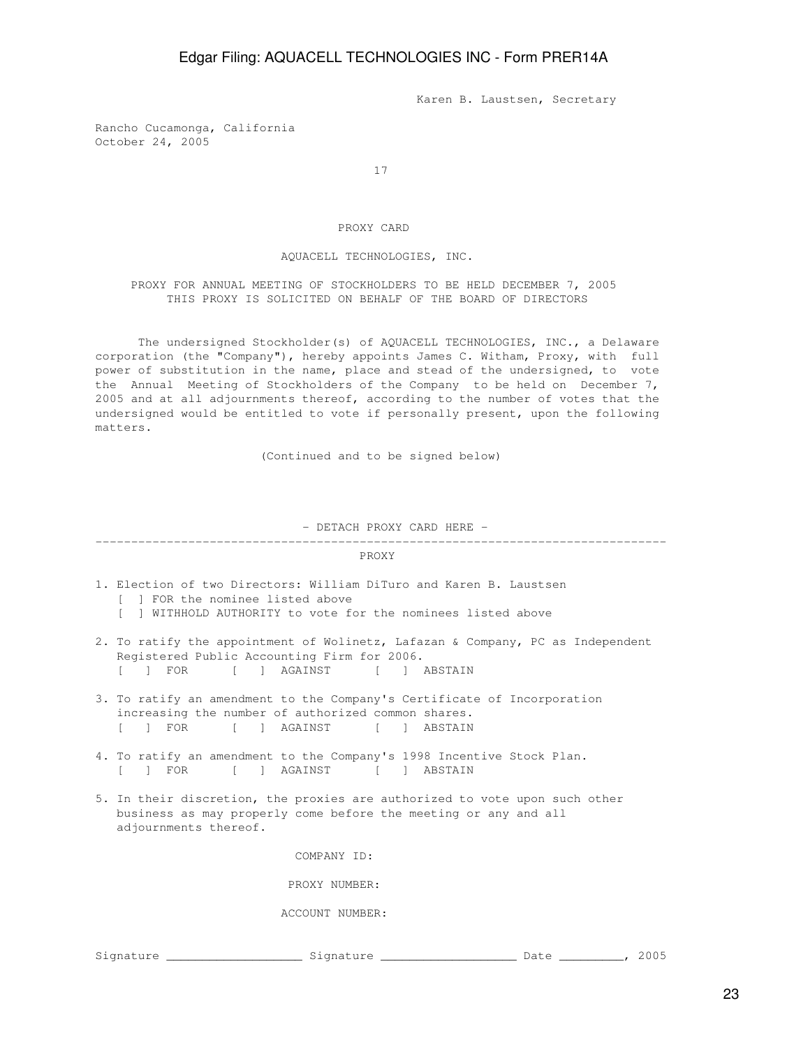Karen B. Laustsen, Secretary

Rancho Cucamonga, California October 24, 2005

17

## PROXY CARD

### AQUACELL TECHNOLOGIES, INC.

 PROXY FOR ANNUAL MEETING OF STOCKHOLDERS TO BE HELD DECEMBER 7, 2005 THIS PROXY IS SOLICITED ON BEHALF OF THE BOARD OF DIRECTORS

 The undersigned Stockholder(s) of AQUACELL TECHNOLOGIES, INC., a Delaware corporation (the "Company"), hereby appoints James C. Witham, Proxy, with full power of substitution in the name, place and stead of the undersigned, to vote the Annual Meeting of Stockholders of the Company to be held on December 7, 2005 and at all adjournments thereof, according to the number of votes that the undersigned would be entitled to vote if personally present, upon the following matters.

(Continued and to be signed below)

- DETACH PROXY CARD HERE -

## --------------------------------------------------------------------------------

#### PROXY

- 1. Election of two Directors: William DiTuro and Karen B. Laustsen [ ] FOR the nominee listed above
	- [ ] WITHHOLD AUTHORITY to vote for the nominees listed above
- 2. To ratify the appointment of Wolinetz, Lafazan & Company, PC as Independent Registered Public Accounting Firm for 2006. [ ] FOR [ ] AGAINST [ ] ABSTAIN
- 3. To ratify an amendment to the Company's Certificate of Incorporation increasing the number of authorized common shares.<br>[ ] FOR [ ] AGAINST [ ] ABSTAIN [ ] AGAINST [ ] ABSTAIN
- 4. To ratify an amendment to the Company's 1998 Incentive Stock Plan. [ ] FOR [ ] AGAINST [ ] ABSTAIN
- 5. In their discretion, the proxies are authorized to vote upon such other business as may properly come before the meeting or any and all adjournments thereof.

COMPANY ID:

PROXY NUMBER:

ACCOUNT NUMBER:

Signature \_\_\_\_\_\_\_\_\_\_\_\_\_\_\_\_\_\_\_ Signature \_\_\_\_\_\_\_\_\_\_\_\_\_\_\_\_\_\_\_ Date \_\_\_\_\_\_\_\_\_, 2005